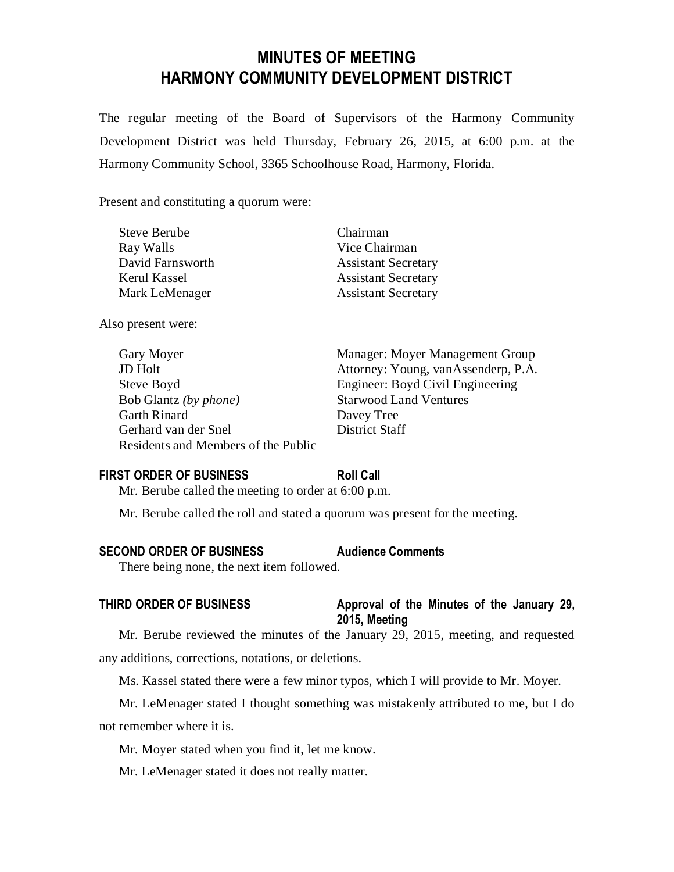# **MINUTES OF MEETING HARMONY COMMUNITY DEVELOPMENT DISTRICT**

The regular meeting of the Board of Supervisors of the Harmony Community Development District was held Thursday, February 26, 2015, at 6:00 p.m. at the Harmony Community School, 3365 Schoolhouse Road, Harmony, Florida.

Present and constituting a quorum were:

| <b>Steve Berube</b> | Chairman                   |
|---------------------|----------------------------|
| Ray Walls           | Vice Chairman              |
| David Farnsworth    | <b>Assistant Secretary</b> |
| Kerul Kassel        | <b>Assistant Secretary</b> |
| Mark LeMenager      | <b>Assistant Secretary</b> |

Also present were:

| Gary Moyer                          | Manager: Moyer Management Group     |
|-------------------------------------|-------------------------------------|
| <b>JD</b> Holt                      | Attorney: Young, vanAssenderp, P.A. |
| Steve Boyd                          | Engineer: Boyd Civil Engineering    |
| Bob Glantz (by phone)               | <b>Starwood Land Ventures</b>       |
| <b>Garth Rinard</b>                 | Davey Tree                          |
| Gerhard van der Snel                | District Staff                      |
| Residents and Members of the Public |                                     |

## **FIRST ORDER OF BUSINESS Roll Call**

Mr. Berube called the meeting to order at 6:00 p.m.

Mr. Berube called the roll and stated a quorum was present for the meeting.

# **SECOND ORDER OF BUSINESS Audience Comments**

There being none, the next item followed.

# **THIRD ORDER OF BUSINESS Approval of the Minutes of the January 29, 2015, Meeting**

Mr. Berube reviewed the minutes of the January 29, 2015, meeting, and requested any additions, corrections, notations, or deletions.

Ms. Kassel stated there were a few minor typos, which I will provide to Mr. Moyer.

Mr. LeMenager stated I thought something was mistakenly attributed to me, but I do not remember where it is.

Mr. Moyer stated when you find it, let me know.

Mr. LeMenager stated it does not really matter.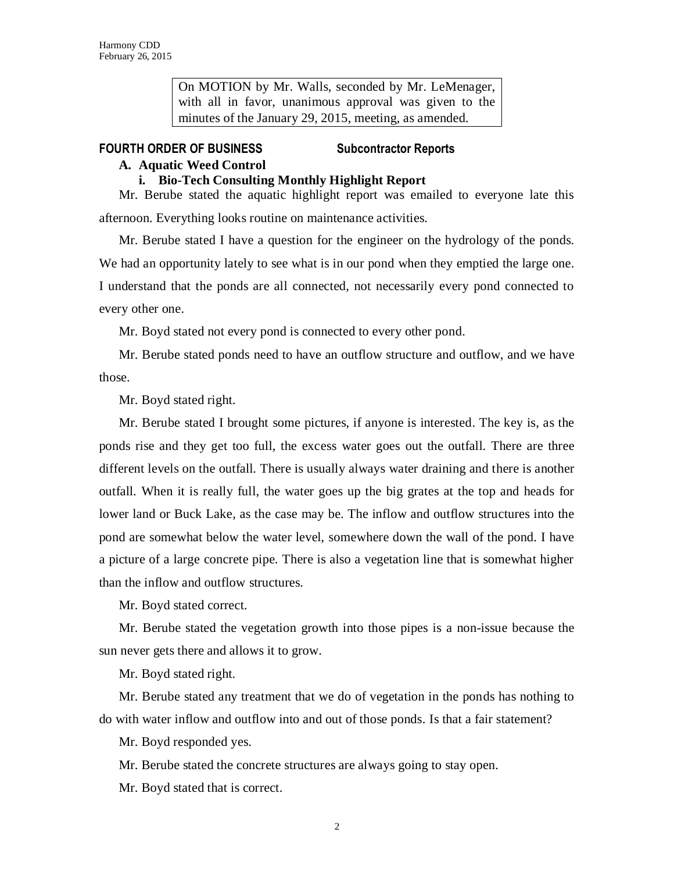On MOTION by Mr. Walls, seconded by Mr. LeMenager, with all in favor, unanimous approval was given to the minutes of the January 29, 2015, meeting, as amended.

# **FOURTH ORDER OF BUSINESS Subcontractor Reports**

# **A. Aquatic Weed Control**

# **i. Bio-Tech Consulting Monthly Highlight Report**

Mr. Berube stated the aquatic highlight report was emailed to everyone late this afternoon. Everything looks routine on maintenance activities.

Mr. Berube stated I have a question for the engineer on the hydrology of the ponds. We had an opportunity lately to see what is in our pond when they emptied the large one. I understand that the ponds are all connected, not necessarily every pond connected to every other one.

Mr. Boyd stated not every pond is connected to every other pond.

Mr. Berube stated ponds need to have an outflow structure and outflow, and we have those.

Mr. Boyd stated right.

Mr. Berube stated I brought some pictures, if anyone is interested. The key is, as the ponds rise and they get too full, the excess water goes out the outfall. There are three different levels on the outfall. There is usually always water draining and there is another outfall. When it is really full, the water goes up the big grates at the top and heads for lower land or Buck Lake, as the case may be. The inflow and outflow structures into the pond are somewhat below the water level, somewhere down the wall of the pond. I have a picture of a large concrete pipe. There is also a vegetation line that is somewhat higher than the inflow and outflow structures.

Mr. Boyd stated correct.

Mr. Berube stated the vegetation growth into those pipes is a non-issue because the sun never gets there and allows it to grow.

Mr. Boyd stated right.

Mr. Berube stated any treatment that we do of vegetation in the ponds has nothing to do with water inflow and outflow into and out of those ponds. Is that a fair statement?

Mr. Boyd responded yes.

Mr. Berube stated the concrete structures are always going to stay open.

Mr. Boyd stated that is correct.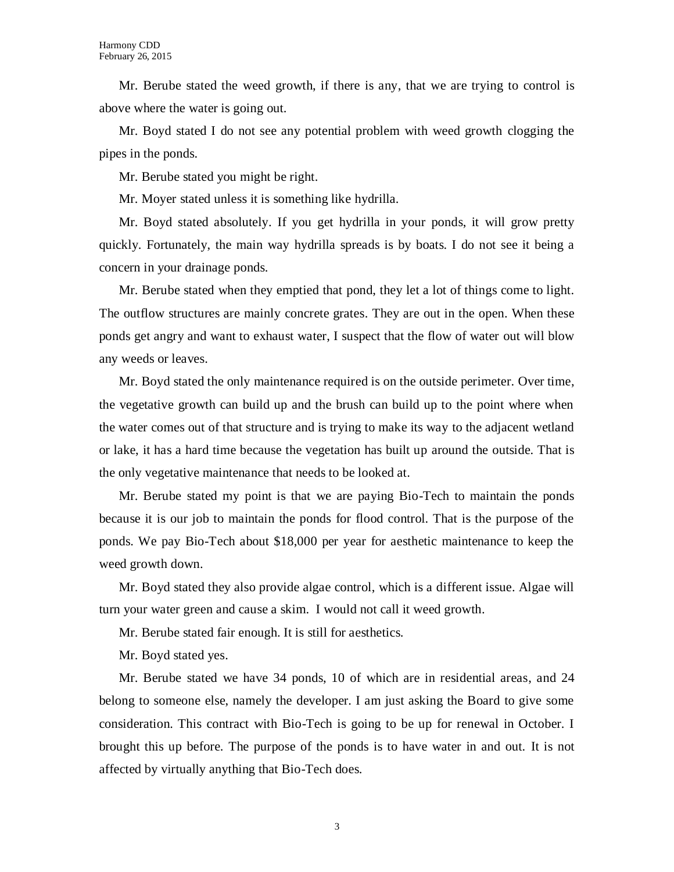Mr. Berube stated the weed growth, if there is any, that we are trying to control is above where the water is going out.

Mr. Boyd stated I do not see any potential problem with weed growth clogging the pipes in the ponds.

Mr. Berube stated you might be right.

Mr. Moyer stated unless it is something like hydrilla.

Mr. Boyd stated absolutely. If you get hydrilla in your ponds, it will grow pretty quickly. Fortunately, the main way hydrilla spreads is by boats. I do not see it being a concern in your drainage ponds.

Mr. Berube stated when they emptied that pond, they let a lot of things come to light. The outflow structures are mainly concrete grates. They are out in the open. When these ponds get angry and want to exhaust water, I suspect that the flow of water out will blow any weeds or leaves.

Mr. Boyd stated the only maintenance required is on the outside perimeter. Over time, the vegetative growth can build up and the brush can build up to the point where when the water comes out of that structure and is trying to make its way to the adjacent wetland or lake, it has a hard time because the vegetation has built up around the outside. That is the only vegetative maintenance that needs to be looked at.

Mr. Berube stated my point is that we are paying Bio-Tech to maintain the ponds because it is our job to maintain the ponds for flood control. That is the purpose of the ponds. We pay Bio-Tech about \$18,000 per year for aesthetic maintenance to keep the weed growth down.

Mr. Boyd stated they also provide algae control, which is a different issue. Algae will turn your water green and cause a skim. I would not call it weed growth.

Mr. Berube stated fair enough. It is still for aesthetics.

Mr. Boyd stated yes.

Mr. Berube stated we have 34 ponds, 10 of which are in residential areas, and 24 belong to someone else, namely the developer. I am just asking the Board to give some consideration. This contract with Bio-Tech is going to be up for renewal in October. I brought this up before. The purpose of the ponds is to have water in and out. It is not affected by virtually anything that Bio-Tech does.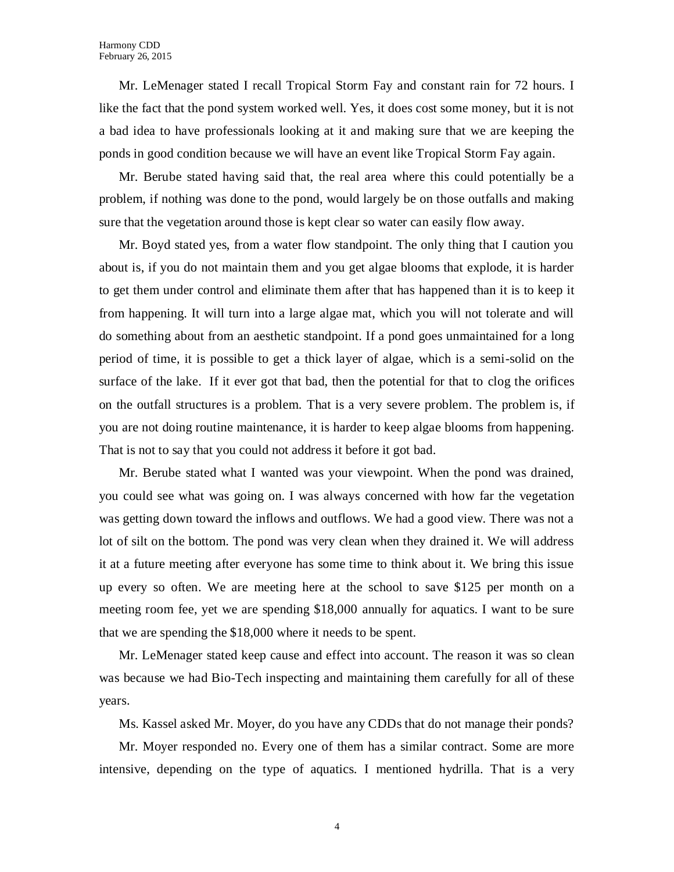Mr. LeMenager stated I recall Tropical Storm Fay and constant rain for 72 hours. I like the fact that the pond system worked well. Yes, it does cost some money, but it is not a bad idea to have professionals looking at it and making sure that we are keeping the ponds in good condition because we will have an event like Tropical Storm Fay again.

Mr. Berube stated having said that, the real area where this could potentially be a problem, if nothing was done to the pond, would largely be on those outfalls and making sure that the vegetation around those is kept clear so water can easily flow away.

Mr. Boyd stated yes, from a water flow standpoint. The only thing that I caution you about is, if you do not maintain them and you get algae blooms that explode, it is harder to get them under control and eliminate them after that has happened than it is to keep it from happening. It will turn into a large algae mat, which you will not tolerate and will do something about from an aesthetic standpoint. If a pond goes unmaintained for a long period of time, it is possible to get a thick layer of algae, which is a semi-solid on the surface of the lake. If it ever got that bad, then the potential for that to clog the orifices on the outfall structures is a problem. That is a very severe problem. The problem is, if you are not doing routine maintenance, it is harder to keep algae blooms from happening. That is not to say that you could not address it before it got bad.

Mr. Berube stated what I wanted was your viewpoint. When the pond was drained, you could see what was going on. I was always concerned with how far the vegetation was getting down toward the inflows and outflows. We had a good view. There was not a lot of silt on the bottom. The pond was very clean when they drained it. We will address it at a future meeting after everyone has some time to think about it. We bring this issue up every so often. We are meeting here at the school to save \$125 per month on a meeting room fee, yet we are spending \$18,000 annually for aquatics. I want to be sure that we are spending the \$18,000 where it needs to be spent.

Mr. LeMenager stated keep cause and effect into account. The reason it was so clean was because we had Bio-Tech inspecting and maintaining them carefully for all of these years.

Ms. Kassel asked Mr. Moyer, do you have any CDDs that do not manage their ponds?

Mr. Moyer responded no. Every one of them has a similar contract. Some are more intensive, depending on the type of aquatics. I mentioned hydrilla. That is a very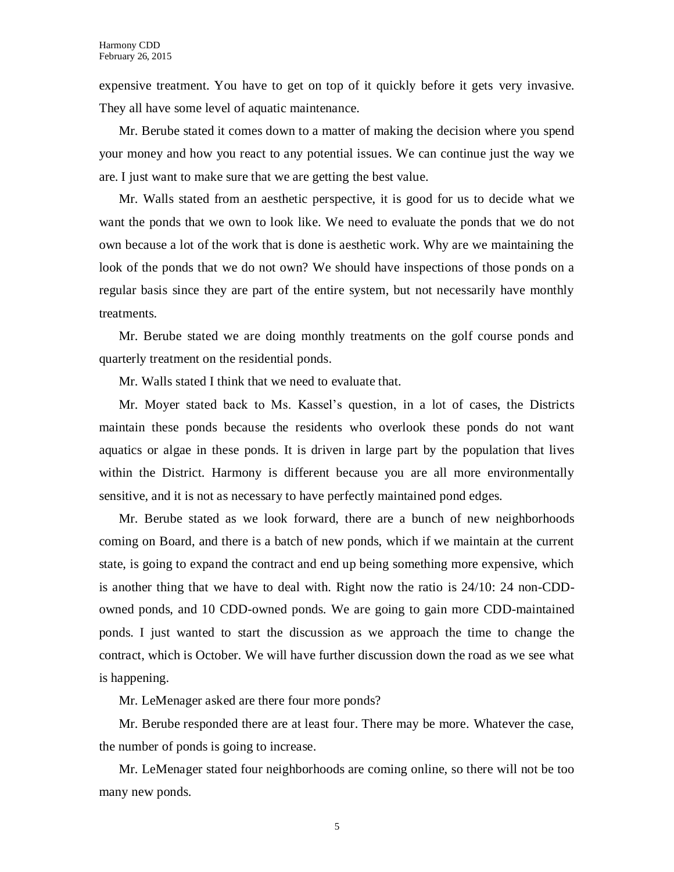expensive treatment. You have to get on top of it quickly before it gets very invasive. They all have some level of aquatic maintenance.

Mr. Berube stated it comes down to a matter of making the decision where you spend your money and how you react to any potential issues. We can continue just the way we are. I just want to make sure that we are getting the best value.

Mr. Walls stated from an aesthetic perspective, it is good for us to decide what we want the ponds that we own to look like. We need to evaluate the ponds that we do not own because a lot of the work that is done is aesthetic work. Why are we maintaining the look of the ponds that we do not own? We should have inspections of those ponds on a regular basis since they are part of the entire system, but not necessarily have monthly treatments.

Mr. Berube stated we are doing monthly treatments on the golf course ponds and quarterly treatment on the residential ponds.

Mr. Walls stated I think that we need to evaluate that.

Mr. Moyer stated back to Ms. Kassel's question, in a lot of cases, the Districts maintain these ponds because the residents who overlook these ponds do not want aquatics or algae in these ponds. It is driven in large part by the population that lives within the District. Harmony is different because you are all more environmentally sensitive, and it is not as necessary to have perfectly maintained pond edges.

Mr. Berube stated as we look forward, there are a bunch of new neighborhoods coming on Board, and there is a batch of new ponds, which if we maintain at the current state, is going to expand the contract and end up being something more expensive, which is another thing that we have to deal with. Right now the ratio is 24/10: 24 non-CDDowned ponds, and 10 CDD-owned ponds. We are going to gain more CDD-maintained ponds. I just wanted to start the discussion as we approach the time to change the contract, which is October. We will have further discussion down the road as we see what is happening.

Mr. LeMenager asked are there four more ponds?

Mr. Berube responded there are at least four. There may be more. Whatever the case, the number of ponds is going to increase.

Mr. LeMenager stated four neighborhoods are coming online, so there will not be too many new ponds.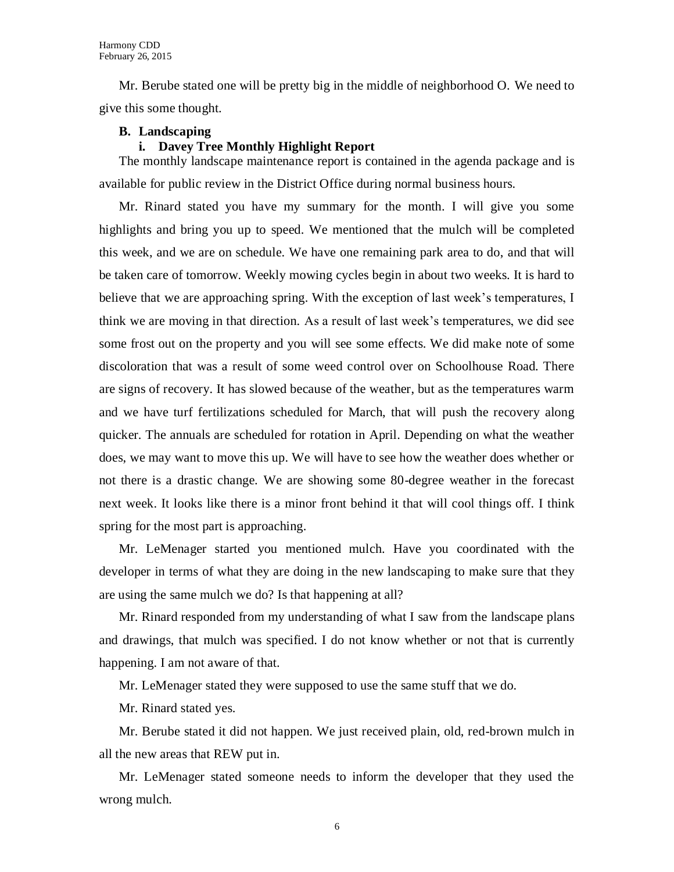Mr. Berube stated one will be pretty big in the middle of neighborhood O. We need to give this some thought.

### **B. Landscaping**

### **i. Davey Tree Monthly Highlight Report**

The monthly landscape maintenance report is contained in the agenda package and is available for public review in the District Office during normal business hours.

Mr. Rinard stated you have my summary for the month. I will give you some highlights and bring you up to speed. We mentioned that the mulch will be completed this week, and we are on schedule. We have one remaining park area to do, and that will be taken care of tomorrow. Weekly mowing cycles begin in about two weeks. It is hard to believe that we are approaching spring. With the exception of last week's temperatures, I think we are moving in that direction. As a result of last week's temperatures, we did see some frost out on the property and you will see some effects. We did make note of some discoloration that was a result of some weed control over on Schoolhouse Road. There are signs of recovery. It has slowed because of the weather, but as the temperatures warm and we have turf fertilizations scheduled for March, that will push the recovery along quicker. The annuals are scheduled for rotation in April. Depending on what the weather does, we may want to move this up. We will have to see how the weather does whether or not there is a drastic change. We are showing some 80-degree weather in the forecast next week. It looks like there is a minor front behind it that will cool things off. I think spring for the most part is approaching.

Mr. LeMenager started you mentioned mulch. Have you coordinated with the developer in terms of what they are doing in the new landscaping to make sure that they are using the same mulch we do? Is that happening at all?

Mr. Rinard responded from my understanding of what I saw from the landscape plans and drawings, that mulch was specified. I do not know whether or not that is currently happening. I am not aware of that.

Mr. LeMenager stated they were supposed to use the same stuff that we do.

Mr. Rinard stated yes.

Mr. Berube stated it did not happen. We just received plain, old, red-brown mulch in all the new areas that REW put in.

Mr. LeMenager stated someone needs to inform the developer that they used the wrong mulch.

6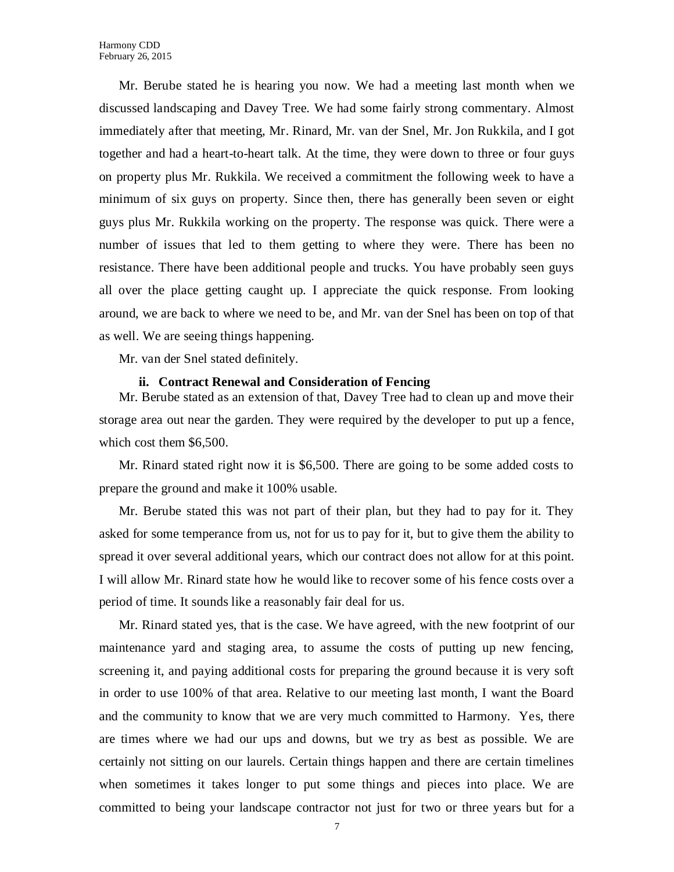Mr. Berube stated he is hearing you now. We had a meeting last month when we discussed landscaping and Davey Tree. We had some fairly strong commentary. Almost immediately after that meeting, Mr. Rinard, Mr. van der Snel, Mr. Jon Rukkila, and I got together and had a heart-to-heart talk. At the time, they were down to three or four guys on property plus Mr. Rukkila. We received a commitment the following week to have a minimum of six guys on property. Since then, there has generally been seven or eight guys plus Mr. Rukkila working on the property. The response was quick. There were a number of issues that led to them getting to where they were. There has been no resistance. There have been additional people and trucks. You have probably seen guys all over the place getting caught up. I appreciate the quick response. From looking around, we are back to where we need to be, and Mr. van der Snel has been on top of that as well. We are seeing things happening.

Mr. van der Snel stated definitely.

### **ii. Contract Renewal and Consideration of Fencing**

Mr. Berube stated as an extension of that, Davey Tree had to clean up and move their storage area out near the garden. They were required by the developer to put up a fence, which cost them \$6,500.

Mr. Rinard stated right now it is \$6,500. There are going to be some added costs to prepare the ground and make it 100% usable.

Mr. Berube stated this was not part of their plan, but they had to pay for it. They asked for some temperance from us, not for us to pay for it, but to give them the ability to spread it over several additional years, which our contract does not allow for at this point. I will allow Mr. Rinard state how he would like to recover some of his fence costs over a period of time. It sounds like a reasonably fair deal for us.

Mr. Rinard stated yes, that is the case. We have agreed, with the new footprint of our maintenance yard and staging area, to assume the costs of putting up new fencing, screening it, and paying additional costs for preparing the ground because it is very soft in order to use 100% of that area. Relative to our meeting last month, I want the Board and the community to know that we are very much committed to Harmony. Yes, there are times where we had our ups and downs, but we try as best as possible. We are certainly not sitting on our laurels. Certain things happen and there are certain timelines when sometimes it takes longer to put some things and pieces into place. We are committed to being your landscape contractor not just for two or three years but for a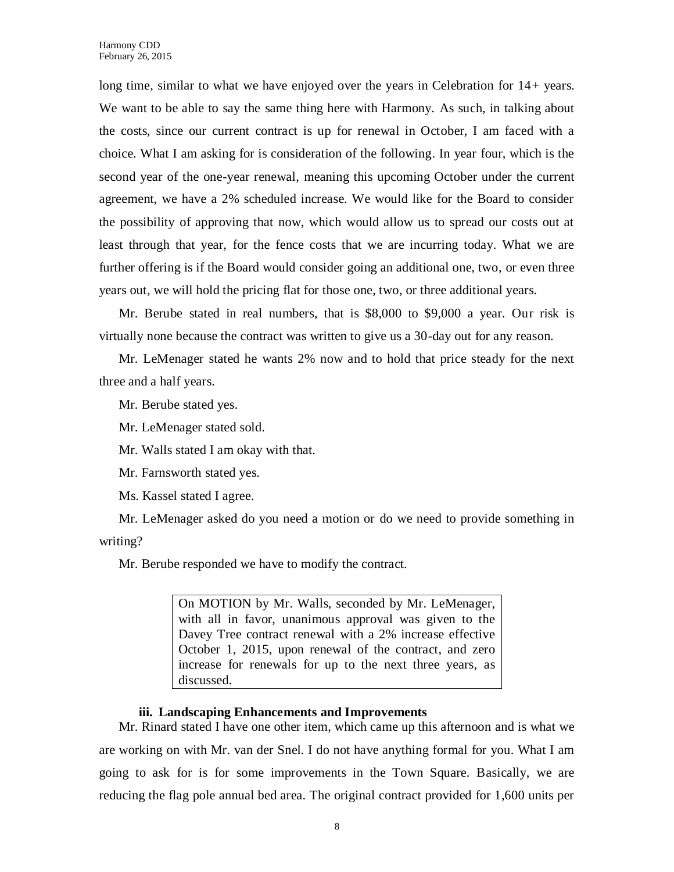long time, similar to what we have enjoyed over the years in Celebration for 14+ years. We want to be able to say the same thing here with Harmony. As such, in talking about the costs, since our current contract is up for renewal in October, I am faced with a choice. What I am asking for is consideration of the following. In year four, which is the second year of the one-year renewal, meaning this upcoming October under the current agreement, we have a 2% scheduled increase. We would like for the Board to consider the possibility of approving that now, which would allow us to spread our costs out at least through that year, for the fence costs that we are incurring today. What we are further offering is if the Board would consider going an additional one, two, or even three years out, we will hold the pricing flat for those one, two, or three additional years.

Mr. Berube stated in real numbers, that is \$8,000 to \$9,000 a year. Our risk is virtually none because the contract was written to give us a 30-day out for any reason.

Mr. LeMenager stated he wants 2% now and to hold that price steady for the next three and a half years.

Mr. Berube stated yes.

Mr. LeMenager stated sold.

Mr. Walls stated I am okay with that.

Mr. Farnsworth stated yes.

Ms. Kassel stated I agree.

Mr. LeMenager asked do you need a motion or do we need to provide something in writing?

Mr. Berube responded we have to modify the contract.

On MOTION by Mr. Walls, seconded by Mr. LeMenager, with all in favor, unanimous approval was given to the Davey Tree contract renewal with a 2% increase effective October 1, 2015, upon renewal of the contract, and zero increase for renewals for up to the next three years, as discussed.

### **iii. Landscaping Enhancements and Improvements**

Mr. Rinard stated I have one other item, which came up this afternoon and is what we are working on with Mr. van der Snel. I do not have anything formal for you. What I am going to ask for is for some improvements in the Town Square. Basically, we are reducing the flag pole annual bed area. The original contract provided for 1,600 units per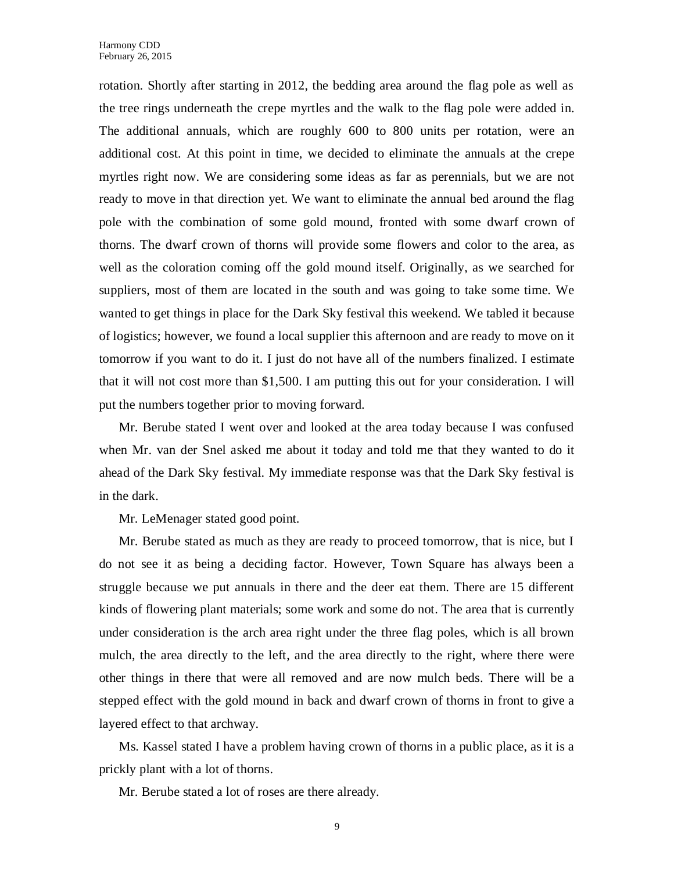rotation. Shortly after starting in 2012, the bedding area around the flag pole as well as the tree rings underneath the crepe myrtles and the walk to the flag pole were added in. The additional annuals, which are roughly 600 to 800 units per rotation, were an additional cost. At this point in time, we decided to eliminate the annuals at the crepe myrtles right now. We are considering some ideas as far as perennials, but we are not ready to move in that direction yet. We want to eliminate the annual bed around the flag pole with the combination of some gold mound, fronted with some dwarf crown of thorns. The dwarf crown of thorns will provide some flowers and color to the area, as well as the coloration coming off the gold mound itself. Originally, as we searched for suppliers, most of them are located in the south and was going to take some time. We wanted to get things in place for the Dark Sky festival this weekend. We tabled it because of logistics; however, we found a local supplier this afternoon and are ready to move on it tomorrow if you want to do it. I just do not have all of the numbers finalized. I estimate that it will not cost more than \$1,500. I am putting this out for your consideration. I will put the numbers together prior to moving forward.

Mr. Berube stated I went over and looked at the area today because I was confused when Mr. van der Snel asked me about it today and told me that they wanted to do it ahead of the Dark Sky festival. My immediate response was that the Dark Sky festival is in the dark.

Mr. LeMenager stated good point.

Mr. Berube stated as much as they are ready to proceed tomorrow, that is nice, but I do not see it as being a deciding factor. However, Town Square has always been a struggle because we put annuals in there and the deer eat them. There are 15 different kinds of flowering plant materials; some work and some do not. The area that is currently under consideration is the arch area right under the three flag poles, which is all brown mulch, the area directly to the left, and the area directly to the right, where there were other things in there that were all removed and are now mulch beds. There will be a stepped effect with the gold mound in back and dwarf crown of thorns in front to give a layered effect to that archway.

Ms. Kassel stated I have a problem having crown of thorns in a public place, as it is a prickly plant with a lot of thorns.

Mr. Berube stated a lot of roses are there already.

9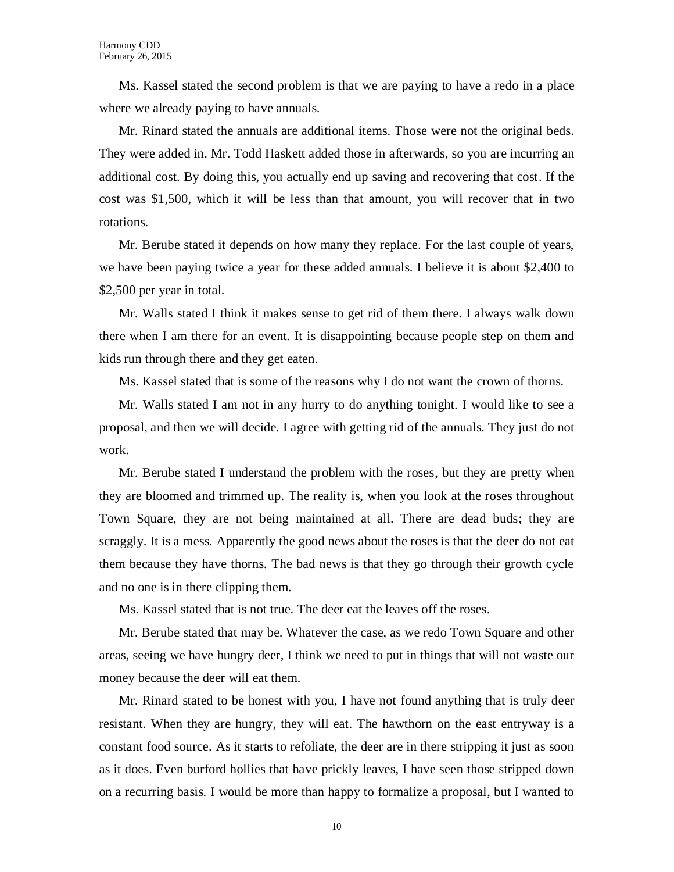Ms. Kassel stated the second problem is that we are paying to have a redo in a place where we already paying to have annuals.

Mr. Rinard stated the annuals are additional items. Those were not the original beds. They were added in. Mr. Todd Haskett added those in afterwards, so you are incurring an additional cost. By doing this, you actually end up saving and recovering that cost. If the cost was \$1,500, which it will be less than that amount, you will recover that in two rotations.

Mr. Berube stated it depends on how many they replace. For the last couple of years, we have been paying twice a year for these added annuals. I believe it is about \$2,400 to \$2,500 per year in total.

Mr. Walls stated I think it makes sense to get rid of them there. I always walk down there when I am there for an event. It is disappointing because people step on them and kids run through there and they get eaten.

Ms. Kassel stated that is some of the reasons why I do not want the crown of thorns.

Mr. Walls stated I am not in any hurry to do anything tonight. I would like to see a proposal, and then we will decide. I agree with getting rid of the annuals. They just do not work.

Mr. Berube stated I understand the problem with the roses, but they are pretty when they are bloomed and trimmed up. The reality is, when you look at the roses throughout Town Square, they are not being maintained at all. There are dead buds; they are scraggly. It is a mess. Apparently the good news about the roses is that the deer do not eat them because they have thorns. The bad news is that they go through their growth cycle and no one is in there clipping them.

Ms. Kassel stated that is not true. The deer eat the leaves off the roses.

Mr. Berube stated that may be. Whatever the case, as we redo Town Square and other areas, seeing we have hungry deer, I think we need to put in things that will not waste our money because the deer will eat them.

Mr. Rinard stated to be honest with you, I have not found anything that is truly deer resistant. When they are hungry, they will eat. The hawthorn on the east entryway is a constant food source. As it starts to refoliate, the deer are in there stripping it just as soon as it does. Even burford hollies that have prickly leaves, I have seen those stripped down on a recurring basis. I would be more than happy to formalize a proposal, but I wanted to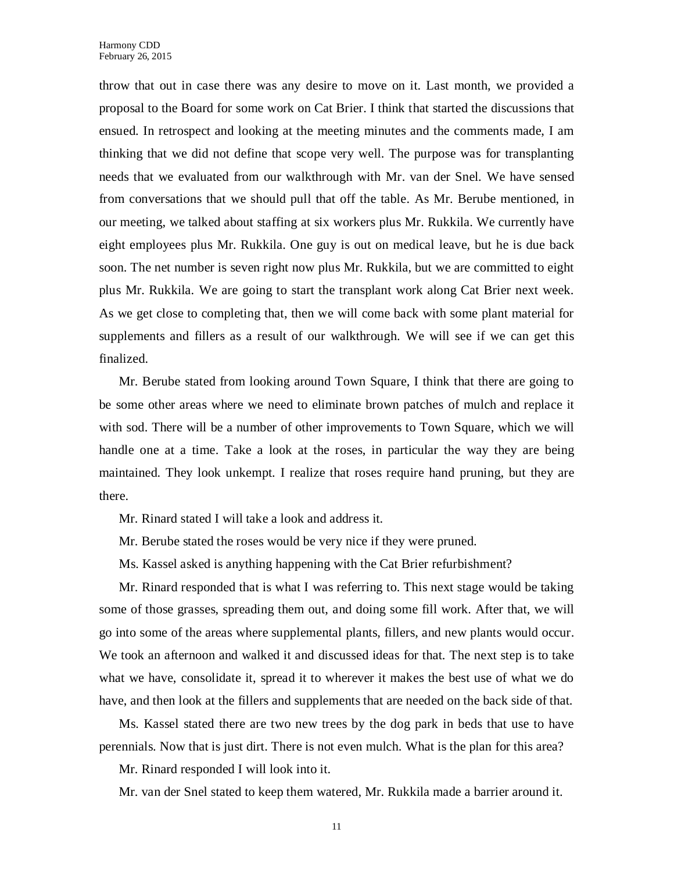throw that out in case there was any desire to move on it. Last month, we provided a proposal to the Board for some work on Cat Brier. I think that started the discussions that ensued. In retrospect and looking at the meeting minutes and the comments made, I am thinking that we did not define that scope very well. The purpose was for transplanting needs that we evaluated from our walkthrough with Mr. van der Snel. We have sensed from conversations that we should pull that off the table. As Mr. Berube mentioned, in our meeting, we talked about staffing at six workers plus Mr. Rukkila. We currently have eight employees plus Mr. Rukkila. One guy is out on medical leave, but he is due back soon. The net number is seven right now plus Mr. Rukkila, but we are committed to eight plus Mr. Rukkila. We are going to start the transplant work along Cat Brier next week. As we get close to completing that, then we will come back with some plant material for supplements and fillers as a result of our walkthrough. We will see if we can get this finalized.

Mr. Berube stated from looking around Town Square, I think that there are going to be some other areas where we need to eliminate brown patches of mulch and replace it with sod. There will be a number of other improvements to Town Square, which we will handle one at a time. Take a look at the roses, in particular the way they are being maintained. They look unkempt. I realize that roses require hand pruning, but they are there.

Mr. Rinard stated I will take a look and address it.

Mr. Berube stated the roses would be very nice if they were pruned.

Ms. Kassel asked is anything happening with the Cat Brier refurbishment?

Mr. Rinard responded that is what I was referring to. This next stage would be taking some of those grasses, spreading them out, and doing some fill work. After that, we will go into some of the areas where supplemental plants, fillers, and new plants would occur. We took an afternoon and walked it and discussed ideas for that. The next step is to take what we have, consolidate it, spread it to wherever it makes the best use of what we do have, and then look at the fillers and supplements that are needed on the back side of that.

Ms. Kassel stated there are two new trees by the dog park in beds that use to have perennials. Now that is just dirt. There is not even mulch. What is the plan for this area?

Mr. Rinard responded I will look into it.

Mr. van der Snel stated to keep them watered, Mr. Rukkila made a barrier around it.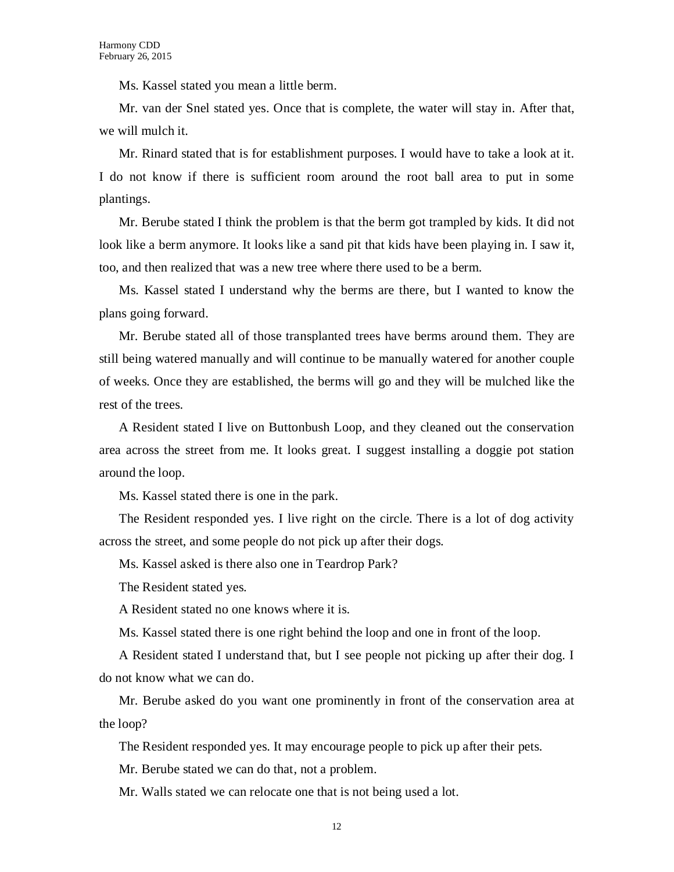Ms. Kassel stated you mean a little berm.

Mr. van der Snel stated yes. Once that is complete, the water will stay in. After that, we will mulch it.

Mr. Rinard stated that is for establishment purposes. I would have to take a look at it. I do not know if there is sufficient room around the root ball area to put in some plantings.

Mr. Berube stated I think the problem is that the berm got trampled by kids. It did not look like a berm anymore. It looks like a sand pit that kids have been playing in. I saw it, too, and then realized that was a new tree where there used to be a berm.

Ms. Kassel stated I understand why the berms are there, but I wanted to know the plans going forward.

Mr. Berube stated all of those transplanted trees have berms around them. They are still being watered manually and will continue to be manually watered for another couple of weeks. Once they are established, the berms will go and they will be mulched like the rest of the trees.

A Resident stated I live on Buttonbush Loop, and they cleaned out the conservation area across the street from me. It looks great. I suggest installing a doggie pot station around the loop.

Ms. Kassel stated there is one in the park.

The Resident responded yes. I live right on the circle. There is a lot of dog activity across the street, and some people do not pick up after their dogs.

Ms. Kassel asked is there also one in Teardrop Park?

The Resident stated yes.

A Resident stated no one knows where it is.

Ms. Kassel stated there is one right behind the loop and one in front of the loop.

A Resident stated I understand that, but I see people not picking up after their dog. I do not know what we can do.

Mr. Berube asked do you want one prominently in front of the conservation area at the loop?

The Resident responded yes. It may encourage people to pick up after their pets.

Mr. Berube stated we can do that, not a problem.

Mr. Walls stated we can relocate one that is not being used a lot.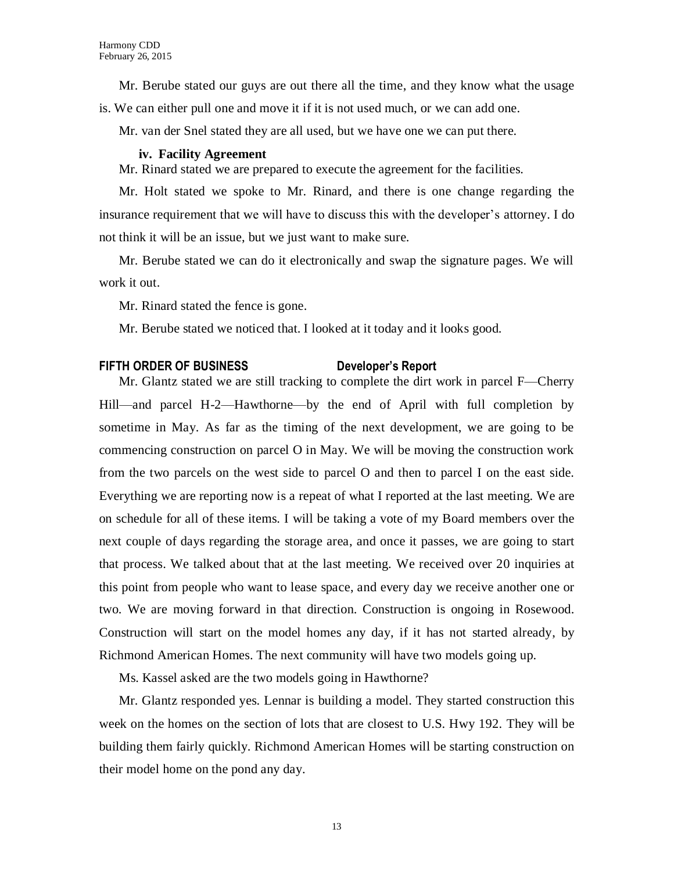Mr. Berube stated our guys are out there all the time, and they know what the usage is. We can either pull one and move it if it is not used much, or we can add one.

Mr. van der Snel stated they are all used, but we have one we can put there.

### **iv. Facility Agreement**

Mr. Rinard stated we are prepared to execute the agreement for the facilities.

Mr. Holt stated we spoke to Mr. Rinard, and there is one change regarding the insurance requirement that we will have to discuss this with the developer's attorney. I do not think it will be an issue, but we just want to make sure.

Mr. Berube stated we can do it electronically and swap the signature pages. We will work it out.

Mr. Rinard stated the fence is gone.

Mr. Berube stated we noticed that. I looked at it today and it looks good.

### **FIFTH ORDER OF BUSINESS Developer's Report**

Mr. Glantz stated we are still tracking to complete the dirt work in parcel F—Cherry Hill—and parcel H-2—Hawthorne—by the end of April with full completion by sometime in May. As far as the timing of the next development, we are going to be commencing construction on parcel O in May. We will be moving the construction work from the two parcels on the west side to parcel O and then to parcel I on the east side. Everything we are reporting now is a repeat of what I reported at the last meeting. We are on schedule for all of these items. I will be taking a vote of my Board members over the next couple of days regarding the storage area, and once it passes, we are going to start that process. We talked about that at the last meeting. We received over 20 inquiries at this point from people who want to lease space, and every day we receive another one or two. We are moving forward in that direction. Construction is ongoing in Rosewood. Construction will start on the model homes any day, if it has not started already, by Richmond American Homes. The next community will have two models going up.

Ms. Kassel asked are the two models going in Hawthorne?

Mr. Glantz responded yes. Lennar is building a model. They started construction this week on the homes on the section of lots that are closest to U.S. Hwy 192. They will be building them fairly quickly. Richmond American Homes will be starting construction on their model home on the pond any day.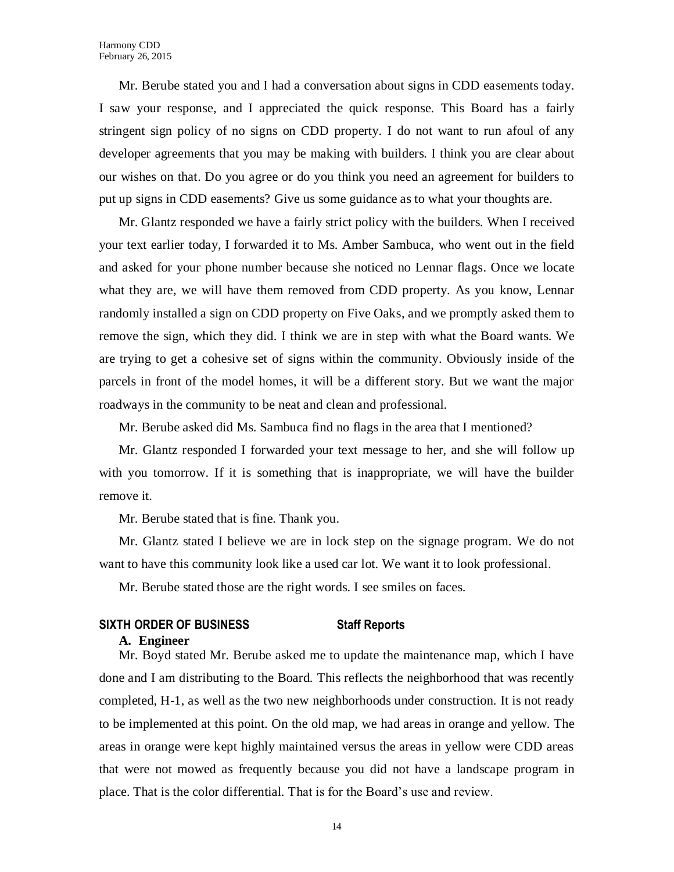Mr. Berube stated you and I had a conversation about signs in CDD easements today. I saw your response, and I appreciated the quick response. This Board has a fairly stringent sign policy of no signs on CDD property. I do not want to run afoul of any developer agreements that you may be making with builders. I think you are clear about our wishes on that. Do you agree or do you think you need an agreement for builders to put up signs in CDD easements? Give us some guidance as to what your thoughts are.

Mr. Glantz responded we have a fairly strict policy with the builders. When I received your text earlier today, I forwarded it to Ms. Amber Sambuca, who went out in the field and asked for your phone number because she noticed no Lennar flags. Once we locate what they are, we will have them removed from CDD property. As you know, Lennar randomly installed a sign on CDD property on Five Oaks, and we promptly asked them to remove the sign, which they did. I think we are in step with what the Board wants. We are trying to get a cohesive set of signs within the community. Obviously inside of the parcels in front of the model homes, it will be a different story. But we want the major roadways in the community to be neat and clean and professional.

Mr. Berube asked did Ms. Sambuca find no flags in the area that I mentioned?

Mr. Glantz responded I forwarded your text message to her, and she will follow up with you tomorrow. If it is something that is inappropriate, we will have the builder remove it.

Mr. Berube stated that is fine. Thank you.

Mr. Glantz stated I believe we are in lock step on the signage program. We do not want to have this community look like a used car lot. We want it to look professional.

Mr. Berube stated those are the right words. I see smiles on faces.

# **SIXTH ORDER OF BUSINESS Staff Reports**

### **A. Engineer**

Mr. Boyd stated Mr. Berube asked me to update the maintenance map, which I have done and I am distributing to the Board. This reflects the neighborhood that was recently completed, H-1, as well as the two new neighborhoods under construction. It is not ready to be implemented at this point. On the old map, we had areas in orange and yellow. The areas in orange were kept highly maintained versus the areas in yellow were CDD areas that were not mowed as frequently because you did not have a landscape program in place. That is the color differential. That is for the Board's use and review.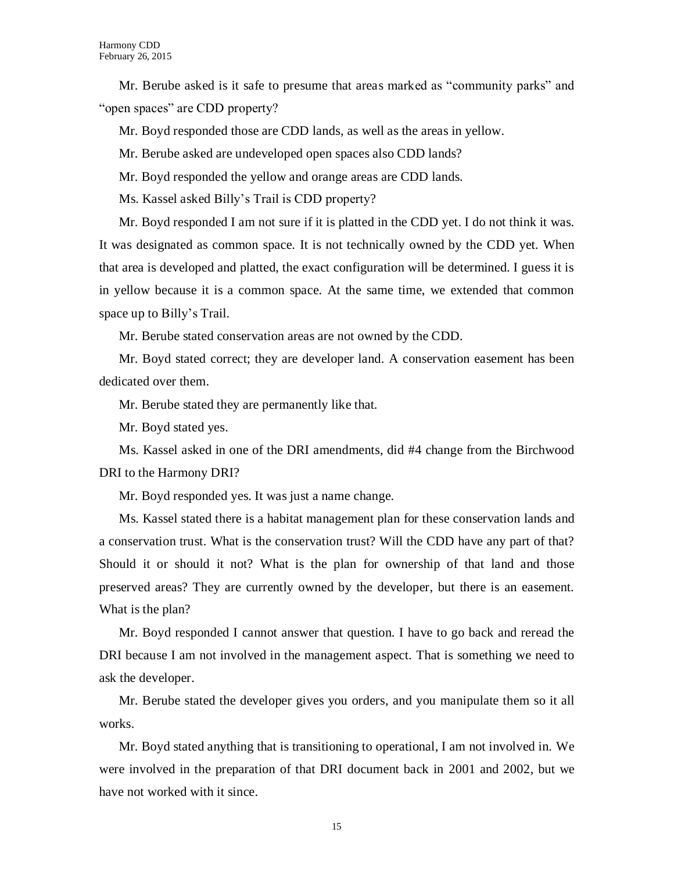Mr. Berube asked is it safe to presume that areas marked as "community parks" and "open spaces" are CDD property?

Mr. Boyd responded those are CDD lands, as well as the areas in yellow.

Mr. Berube asked are undeveloped open spaces also CDD lands?

Mr. Boyd responded the yellow and orange areas are CDD lands.

Ms. Kassel asked Billy's Trail is CDD property?

Mr. Boyd responded I am not sure if it is platted in the CDD yet. I do not think it was. It was designated as common space. It is not technically owned by the CDD yet. When that area is developed and platted, the exact configuration will be determined. I guess it is in yellow because it is a common space. At the same time, we extended that common space up to Billy's Trail.

Mr. Berube stated conservation areas are not owned by the CDD.

Mr. Boyd stated correct; they are developer land. A conservation easement has been dedicated over them.

Mr. Berube stated they are permanently like that.

Mr. Boyd stated yes.

Ms. Kassel asked in one of the DRI amendments, did #4 change from the Birchwood DRI to the Harmony DRI?

Mr. Boyd responded yes. It was just a name change.

Ms. Kassel stated there is a habitat management plan for these conservation lands and a conservation trust. What is the conservation trust? Will the CDD have any part of that? Should it or should it not? What is the plan for ownership of that land and those preserved areas? They are currently owned by the developer, but there is an easement. What is the plan?

Mr. Boyd responded I cannot answer that question. I have to go back and reread the DRI because I am not involved in the management aspect. That is something we need to ask the developer.

Mr. Berube stated the developer gives you orders, and you manipulate them so it all works.

Mr. Boyd stated anything that is transitioning to operational, I am not involved in. We were involved in the preparation of that DRI document back in 2001 and 2002, but we have not worked with it since.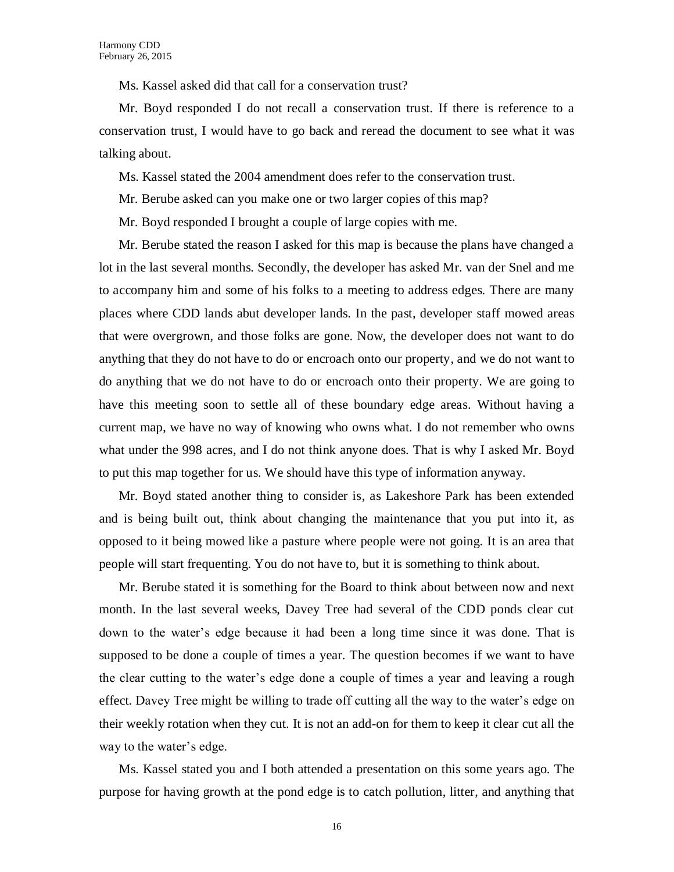Ms. Kassel asked did that call for a conservation trust?

Mr. Boyd responded I do not recall a conservation trust. If there is reference to a conservation trust, I would have to go back and reread the document to see what it was talking about.

Ms. Kassel stated the 2004 amendment does refer to the conservation trust.

Mr. Berube asked can you make one or two larger copies of this map?

Mr. Boyd responded I brought a couple of large copies with me.

Mr. Berube stated the reason I asked for this map is because the plans have changed a lot in the last several months. Secondly, the developer has asked Mr. van der Snel and me to accompany him and some of his folks to a meeting to address edges. There are many places where CDD lands abut developer lands. In the past, developer staff mowed areas that were overgrown, and those folks are gone. Now, the developer does not want to do anything that they do not have to do or encroach onto our property, and we do not want to do anything that we do not have to do or encroach onto their property. We are going to have this meeting soon to settle all of these boundary edge areas. Without having a current map, we have no way of knowing who owns what. I do not remember who owns what under the 998 acres, and I do not think anyone does. That is why I asked Mr. Boyd to put this map together for us. We should have this type of information anyway.

Mr. Boyd stated another thing to consider is, as Lakeshore Park has been extended and is being built out, think about changing the maintenance that you put into it, as opposed to it being mowed like a pasture where people were not going. It is an area that people will start frequenting. You do not have to, but it is something to think about.

Mr. Berube stated it is something for the Board to think about between now and next month. In the last several weeks, Davey Tree had several of the CDD ponds clear cut down to the water's edge because it had been a long time since it was done. That is supposed to be done a couple of times a year. The question becomes if we want to have the clear cutting to the water's edge done a couple of times a year and leaving a rough effect. Davey Tree might be willing to trade off cutting all the way to the water's edge on their weekly rotation when they cut. It is not an add-on for them to keep it clear cut all the way to the water's edge.

Ms. Kassel stated you and I both attended a presentation on this some years ago. The purpose for having growth at the pond edge is to catch pollution, litter, and anything that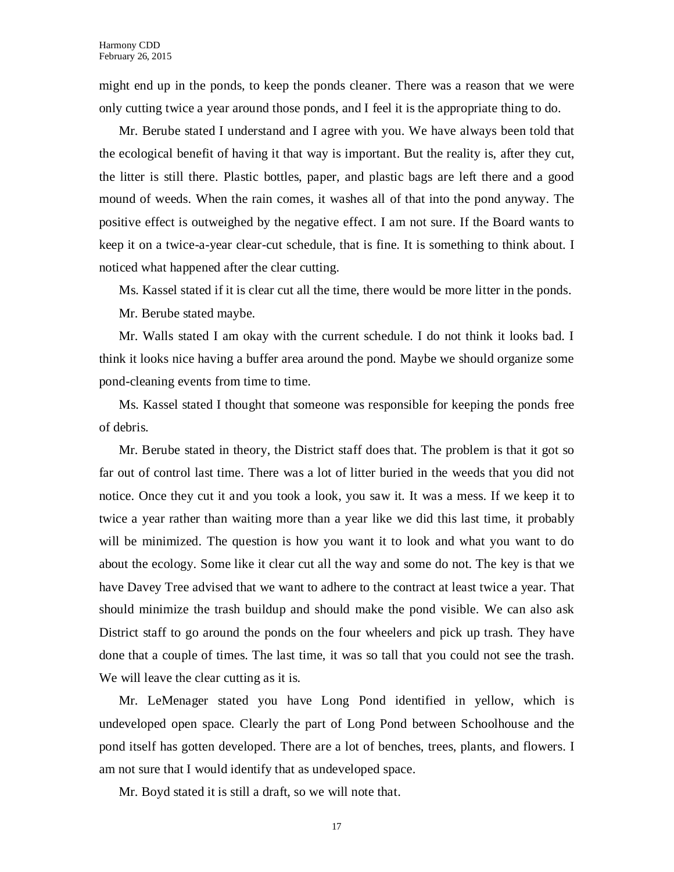might end up in the ponds, to keep the ponds cleaner. There was a reason that we were only cutting twice a year around those ponds, and I feel it is the appropriate thing to do.

Mr. Berube stated I understand and I agree with you. We have always been told that the ecological benefit of having it that way is important. But the reality is, after they cut, the litter is still there. Plastic bottles, paper, and plastic bags are left there and a good mound of weeds. When the rain comes, it washes all of that into the pond anyway. The positive effect is outweighed by the negative effect. I am not sure. If the Board wants to keep it on a twice-a-year clear-cut schedule, that is fine. It is something to think about. I noticed what happened after the clear cutting.

Ms. Kassel stated if it is clear cut all the time, there would be more litter in the ponds.

Mr. Berube stated maybe.

Mr. Walls stated I am okay with the current schedule. I do not think it looks bad. I think it looks nice having a buffer area around the pond. Maybe we should organize some pond-cleaning events from time to time.

Ms. Kassel stated I thought that someone was responsible for keeping the ponds free of debris.

Mr. Berube stated in theory, the District staff does that. The problem is that it got so far out of control last time. There was a lot of litter buried in the weeds that you did not notice. Once they cut it and you took a look, you saw it. It was a mess. If we keep it to twice a year rather than waiting more than a year like we did this last time, it probably will be minimized. The question is how you want it to look and what you want to do about the ecology. Some like it clear cut all the way and some do not. The key is that we have Davey Tree advised that we want to adhere to the contract at least twice a year. That should minimize the trash buildup and should make the pond visible. We can also ask District staff to go around the ponds on the four wheelers and pick up trash. They have done that a couple of times. The last time, it was so tall that you could not see the trash. We will leave the clear cutting as it is.

Mr. LeMenager stated you have Long Pond identified in yellow, which is undeveloped open space. Clearly the part of Long Pond between Schoolhouse and the pond itself has gotten developed. There are a lot of benches, trees, plants, and flowers. I am not sure that I would identify that as undeveloped space.

Mr. Boyd stated it is still a draft, so we will note that.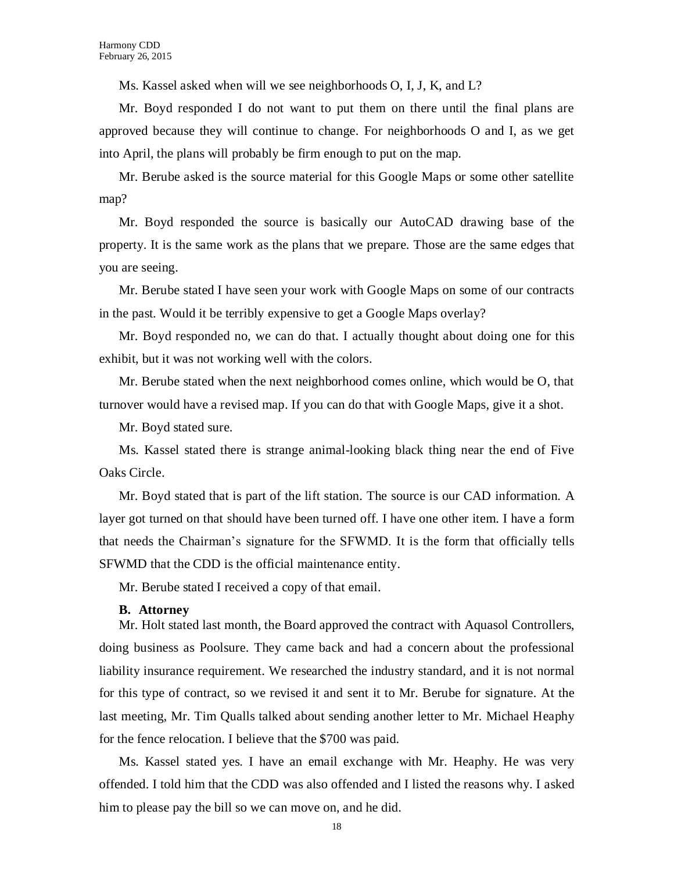Ms. Kassel asked when will we see neighborhoods O, I, J, K, and L?

Mr. Boyd responded I do not want to put them on there until the final plans are approved because they will continue to change. For neighborhoods O and I, as we get into April, the plans will probably be firm enough to put on the map.

Mr. Berube asked is the source material for this Google Maps or some other satellite map?

Mr. Boyd responded the source is basically our AutoCAD drawing base of the property. It is the same work as the plans that we prepare. Those are the same edges that you are seeing.

Mr. Berube stated I have seen your work with Google Maps on some of our contracts in the past. Would it be terribly expensive to get a Google Maps overlay?

Mr. Boyd responded no, we can do that. I actually thought about doing one for this exhibit, but it was not working well with the colors.

Mr. Berube stated when the next neighborhood comes online, which would be O, that turnover would have a revised map. If you can do that with Google Maps, give it a shot.

Mr. Boyd stated sure.

Ms. Kassel stated there is strange animal-looking black thing near the end of Five Oaks Circle.

Mr. Boyd stated that is part of the lift station. The source is our CAD information. A layer got turned on that should have been turned off. I have one other item. I have a form that needs the Chairman's signature for the SFWMD. It is the form that officially tells SFWMD that the CDD is the official maintenance entity.

Mr. Berube stated I received a copy of that email.

### **B. Attorney**

Mr. Holt stated last month, the Board approved the contract with Aquasol Controllers, doing business as Poolsure. They came back and had a concern about the professional liability insurance requirement. We researched the industry standard, and it is not normal for this type of contract, so we revised it and sent it to Mr. Berube for signature. At the last meeting, Mr. Tim Qualls talked about sending another letter to Mr. Michael Heaphy for the fence relocation. I believe that the \$700 was paid.

Ms. Kassel stated yes. I have an email exchange with Mr. Heaphy. He was very offended. I told him that the CDD was also offended and I listed the reasons why. I asked him to please pay the bill so we can move on, and he did.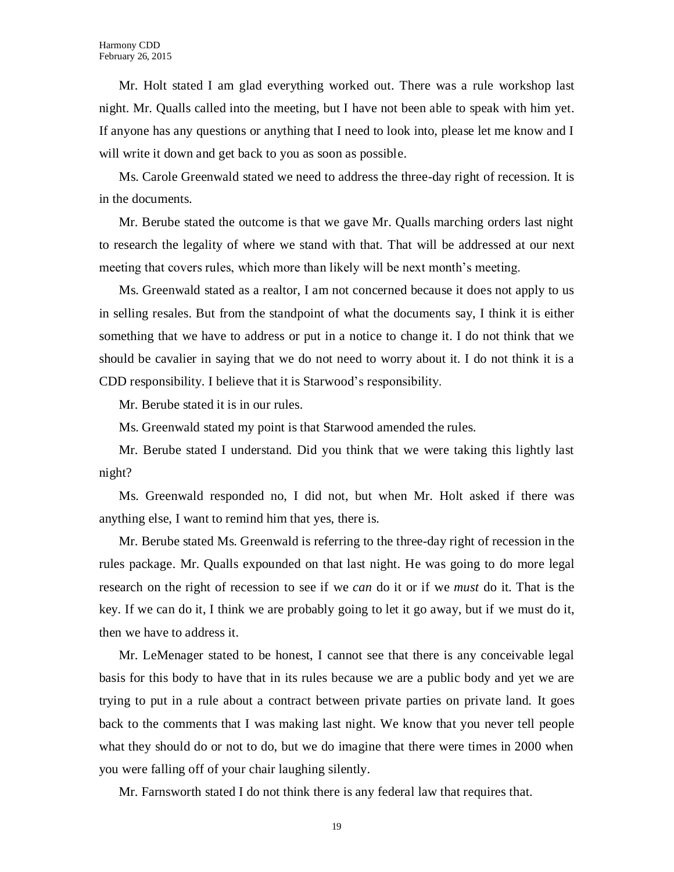Mr. Holt stated I am glad everything worked out. There was a rule workshop last night. Mr. Qualls called into the meeting, but I have not been able to speak with him yet. If anyone has any questions or anything that I need to look into, please let me know and I will write it down and get back to you as soon as possible.

Ms. Carole Greenwald stated we need to address the three-day right of recession. It is in the documents.

Mr. Berube stated the outcome is that we gave Mr. Qualls marching orders last night to research the legality of where we stand with that. That will be addressed at our next meeting that covers rules, which more than likely will be next month's meeting.

Ms. Greenwald stated as a realtor, I am not concerned because it does not apply to us in selling resales. But from the standpoint of what the documents say, I think it is either something that we have to address or put in a notice to change it. I do not think that we should be cavalier in saying that we do not need to worry about it. I do not think it is a CDD responsibility. I believe that it is Starwood's responsibility.

Mr. Berube stated it is in our rules.

Ms. Greenwald stated my point is that Starwood amended the rules.

Mr. Berube stated I understand. Did you think that we were taking this lightly last night?

Ms. Greenwald responded no, I did not, but when Mr. Holt asked if there was anything else, I want to remind him that yes, there is.

Mr. Berube stated Ms. Greenwald is referring to the three-day right of recession in the rules package. Mr. Qualls expounded on that last night. He was going to do more legal research on the right of recession to see if we *can* do it or if we *must* do it. That is the key. If we can do it, I think we are probably going to let it go away, but if we must do it, then we have to address it.

Mr. LeMenager stated to be honest, I cannot see that there is any conceivable legal basis for this body to have that in its rules because we are a public body and yet we are trying to put in a rule about a contract between private parties on private land. It goes back to the comments that I was making last night. We know that you never tell people what they should do or not to do, but we do imagine that there were times in 2000 when you were falling off of your chair laughing silently.

Mr. Farnsworth stated I do not think there is any federal law that requires that.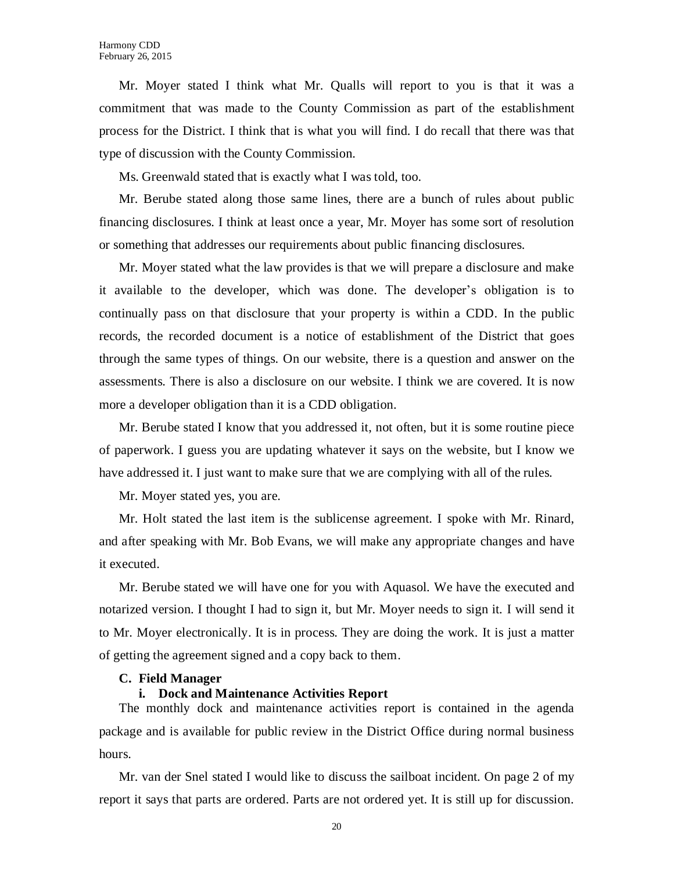Mr. Moyer stated I think what Mr. Qualls will report to you is that it was a commitment that was made to the County Commission as part of the establishment process for the District. I think that is what you will find. I do recall that there was that type of discussion with the County Commission.

Ms. Greenwald stated that is exactly what I was told, too.

Mr. Berube stated along those same lines, there are a bunch of rules about public financing disclosures. I think at least once a year, Mr. Moyer has some sort of resolution or something that addresses our requirements about public financing disclosures.

Mr. Moyer stated what the law provides is that we will prepare a disclosure and make it available to the developer, which was done. The developer's obligation is to continually pass on that disclosure that your property is within a CDD. In the public records, the recorded document is a notice of establishment of the District that goes through the same types of things. On our website, there is a question and answer on the assessments. There is also a disclosure on our website. I think we are covered. It is now more a developer obligation than it is a CDD obligation.

Mr. Berube stated I know that you addressed it, not often, but it is some routine piece of paperwork. I guess you are updating whatever it says on the website, but I know we have addressed it. I just want to make sure that we are complying with all of the rules.

Mr. Moyer stated yes, you are.

Mr. Holt stated the last item is the sublicense agreement. I spoke with Mr. Rinard, and after speaking with Mr. Bob Evans, we will make any appropriate changes and have it executed.

Mr. Berube stated we will have one for you with Aquasol. We have the executed and notarized version. I thought I had to sign it, but Mr. Moyer needs to sign it. I will send it to Mr. Moyer electronically. It is in process. They are doing the work. It is just a matter of getting the agreement signed and a copy back to them.

### **C. Field Manager**

### **i. Dock and Maintenance Activities Report**

The monthly dock and maintenance activities report is contained in the agenda package and is available for public review in the District Office during normal business hours.

Mr. van der Snel stated I would like to discuss the sailboat incident. On page 2 of my report it says that parts are ordered. Parts are not ordered yet. It is still up for discussion.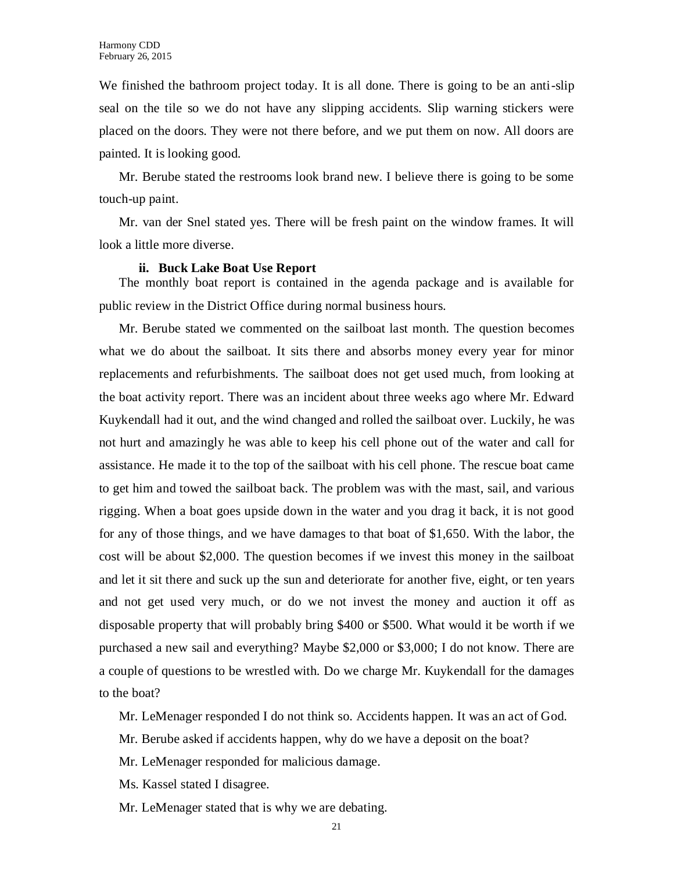We finished the bathroom project today. It is all done. There is going to be an anti-slip seal on the tile so we do not have any slipping accidents. Slip warning stickers were placed on the doors. They were not there before, and we put them on now. All doors are painted. It is looking good.

Mr. Berube stated the restrooms look brand new. I believe there is going to be some touch-up paint.

Mr. van der Snel stated yes. There will be fresh paint on the window frames. It will look a little more diverse.

### **ii. Buck Lake Boat Use Report**

The monthly boat report is contained in the agenda package and is available for public review in the District Office during normal business hours.

Mr. Berube stated we commented on the sailboat last month. The question becomes what we do about the sailboat. It sits there and absorbs money every year for minor replacements and refurbishments. The sailboat does not get used much, from looking at the boat activity report. There was an incident about three weeks ago where Mr. Edward Kuykendall had it out, and the wind changed and rolled the sailboat over. Luckily, he was not hurt and amazingly he was able to keep his cell phone out of the water and call for assistance. He made it to the top of the sailboat with his cell phone. The rescue boat came to get him and towed the sailboat back. The problem was with the mast, sail, and various rigging. When a boat goes upside down in the water and you drag it back, it is not good for any of those things, and we have damages to that boat of \$1,650. With the labor, the cost will be about \$2,000. The question becomes if we invest this money in the sailboat and let it sit there and suck up the sun and deteriorate for another five, eight, or ten years and not get used very much, or do we not invest the money and auction it off as disposable property that will probably bring \$400 or \$500. What would it be worth if we purchased a new sail and everything? Maybe \$2,000 or \$3,000; I do not know. There are a couple of questions to be wrestled with. Do we charge Mr. Kuykendall for the damages to the boat?

Mr. LeMenager responded I do not think so. Accidents happen. It was an act of God.

Mr. Berube asked if accidents happen, why do we have a deposit on the boat?

Mr. LeMenager responded for malicious damage.

Ms. Kassel stated I disagree.

Mr. LeMenager stated that is why we are debating.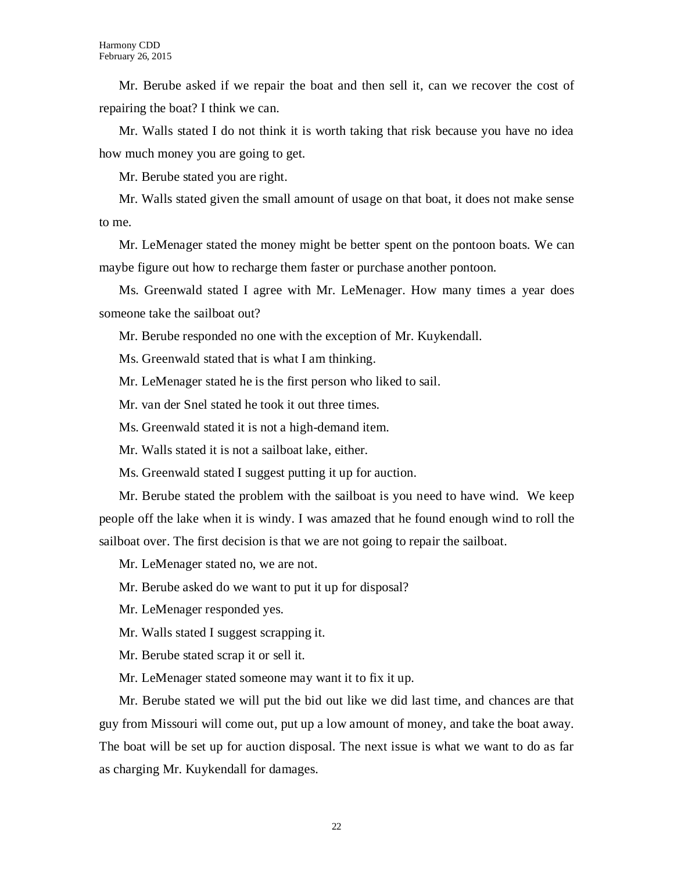Mr. Berube asked if we repair the boat and then sell it, can we recover the cost of repairing the boat? I think we can.

Mr. Walls stated I do not think it is worth taking that risk because you have no idea how much money you are going to get.

Mr. Berube stated you are right.

Mr. Walls stated given the small amount of usage on that boat, it does not make sense to me.

Mr. LeMenager stated the money might be better spent on the pontoon boats. We can maybe figure out how to recharge them faster or purchase another pontoon.

Ms. Greenwald stated I agree with Mr. LeMenager. How many times a year does someone take the sailboat out?

Mr. Berube responded no one with the exception of Mr. Kuykendall.

Ms. Greenwald stated that is what I am thinking.

Mr. LeMenager stated he is the first person who liked to sail.

Mr. van der Snel stated he took it out three times.

Ms. Greenwald stated it is not a high-demand item.

Mr. Walls stated it is not a sailboat lake, either.

Ms. Greenwald stated I suggest putting it up for auction.

Mr. Berube stated the problem with the sailboat is you need to have wind. We keep people off the lake when it is windy. I was amazed that he found enough wind to roll the sailboat over. The first decision is that we are not going to repair the sailboat.

Mr. LeMenager stated no, we are not.

Mr. Berube asked do we want to put it up for disposal?

Mr. LeMenager responded yes.

Mr. Walls stated I suggest scrapping it.

Mr. Berube stated scrap it or sell it.

Mr. LeMenager stated someone may want it to fix it up.

Mr. Berube stated we will put the bid out like we did last time, and chances are that guy from Missouri will come out, put up a low amount of money, and take the boat away. The boat will be set up for auction disposal. The next issue is what we want to do as far as charging Mr. Kuykendall for damages.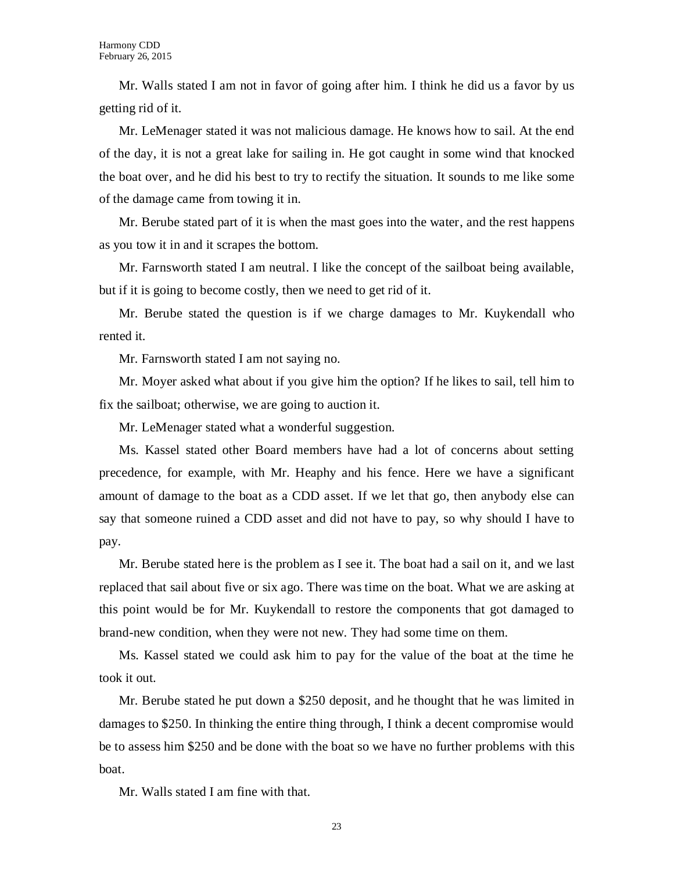Mr. Walls stated I am not in favor of going after him. I think he did us a favor by us getting rid of it.

Mr. LeMenager stated it was not malicious damage. He knows how to sail. At the end of the day, it is not a great lake for sailing in. He got caught in some wind that knocked the boat over, and he did his best to try to rectify the situation. It sounds to me like some of the damage came from towing it in.

Mr. Berube stated part of it is when the mast goes into the water, and the rest happens as you tow it in and it scrapes the bottom.

Mr. Farnsworth stated I am neutral. I like the concept of the sailboat being available, but if it is going to become costly, then we need to get rid of it.

Mr. Berube stated the question is if we charge damages to Mr. Kuykendall who rented it.

Mr. Farnsworth stated I am not saying no.

Mr. Moyer asked what about if you give him the option? If he likes to sail, tell him to fix the sailboat; otherwise, we are going to auction it.

Mr. LeMenager stated what a wonderful suggestion.

Ms. Kassel stated other Board members have had a lot of concerns about setting precedence, for example, with Mr. Heaphy and his fence. Here we have a significant amount of damage to the boat as a CDD asset. If we let that go, then anybody else can say that someone ruined a CDD asset and did not have to pay, so why should I have to pay.

Mr. Berube stated here is the problem as I see it. The boat had a sail on it, and we last replaced that sail about five or six ago. There was time on the boat. What we are asking at this point would be for Mr. Kuykendall to restore the components that got damaged to brand-new condition, when they were not new. They had some time on them.

Ms. Kassel stated we could ask him to pay for the value of the boat at the time he took it out.

Mr. Berube stated he put down a \$250 deposit, and he thought that he was limited in damages to \$250. In thinking the entire thing through, I think a decent compromise would be to assess him \$250 and be done with the boat so we have no further problems with this boat.

Mr. Walls stated I am fine with that.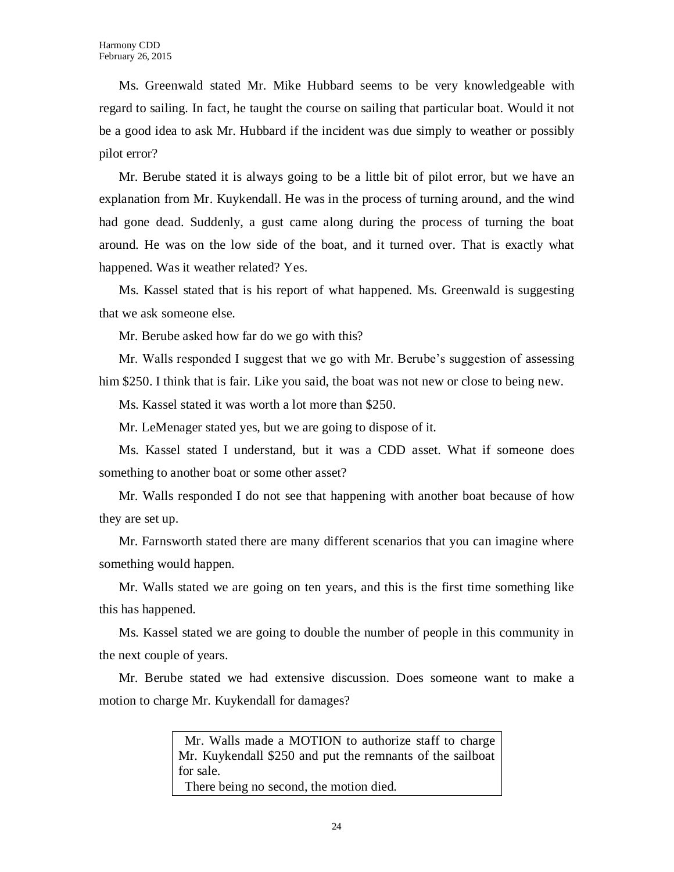Ms. Greenwald stated Mr. Mike Hubbard seems to be very knowledgeable with regard to sailing. In fact, he taught the course on sailing that particular boat. Would it not be a good idea to ask Mr. Hubbard if the incident was due simply to weather or possibly pilot error?

Mr. Berube stated it is always going to be a little bit of pilot error, but we have an explanation from Mr. Kuykendall. He was in the process of turning around, and the wind had gone dead. Suddenly, a gust came along during the process of turning the boat around. He was on the low side of the boat, and it turned over. That is exactly what happened. Was it weather related? Yes.

Ms. Kassel stated that is his report of what happened. Ms. Greenwald is suggesting that we ask someone else.

Mr. Berube asked how far do we go with this?

Mr. Walls responded I suggest that we go with Mr. Berube's suggestion of assessing him \$250. I think that is fair. Like you said, the boat was not new or close to being new.

Ms. Kassel stated it was worth a lot more than \$250.

Mr. LeMenager stated yes, but we are going to dispose of it.

Ms. Kassel stated I understand, but it was a CDD asset. What if someone does something to another boat or some other asset?

Mr. Walls responded I do not see that happening with another boat because of how they are set up.

Mr. Farnsworth stated there are many different scenarios that you can imagine where something would happen.

Mr. Walls stated we are going on ten years, and this is the first time something like this has happened.

Ms. Kassel stated we are going to double the number of people in this community in the next couple of years.

Mr. Berube stated we had extensive discussion. Does someone want to make a motion to charge Mr. Kuykendall for damages?

> Mr. Walls made a MOTION to authorize staff to charge Mr. Kuykendall \$250 and put the remnants of the sailboat for sale. There being no second, the motion died.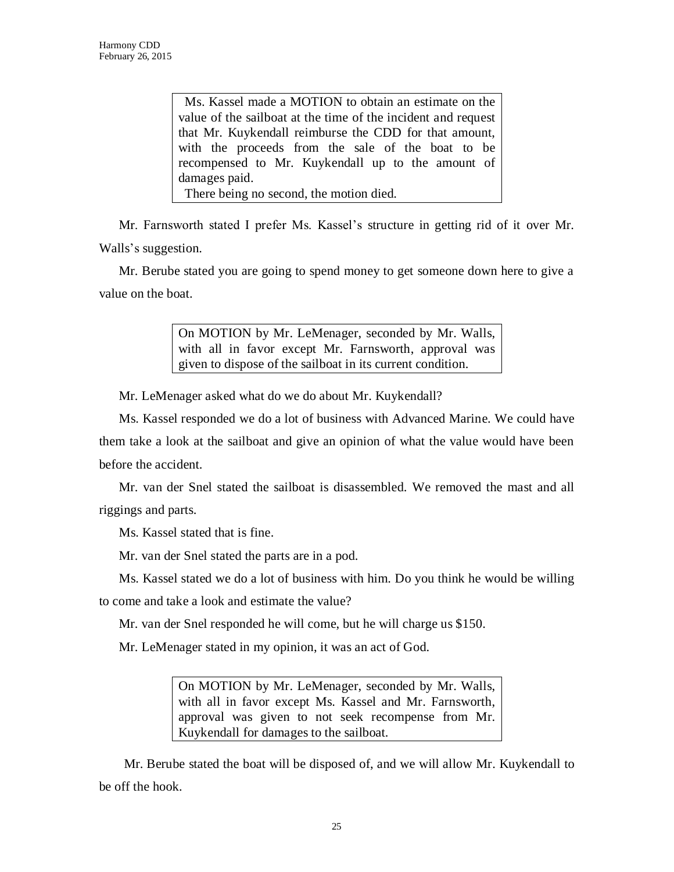Ms. Kassel made a MOTION to obtain an estimate on the value of the sailboat at the time of the incident and request that Mr. Kuykendall reimburse the CDD for that amount, with the proceeds from the sale of the boat to be recompensed to Mr. Kuykendall up to the amount of damages paid.

There being no second, the motion died.

Mr. Farnsworth stated I prefer Ms. Kassel's structure in getting rid of it over Mr. Walls's suggestion.

Mr. Berube stated you are going to spend money to get someone down here to give a value on the boat.

> On MOTION by Mr. LeMenager, seconded by Mr. Walls, with all in favor except Mr. Farnsworth, approval was given to dispose of the sailboat in its current condition.

Mr. LeMenager asked what do we do about Mr. Kuykendall?

Ms. Kassel responded we do a lot of business with Advanced Marine. We could have them take a look at the sailboat and give an opinion of what the value would have been before the accident.

Mr. van der Snel stated the sailboat is disassembled. We removed the mast and all riggings and parts.

Ms. Kassel stated that is fine.

Mr. van der Snel stated the parts are in a pod.

Ms. Kassel stated we do a lot of business with him. Do you think he would be willing

to come and take a look and estimate the value?

Mr. van der Snel responded he will come, but he will charge us \$150.

Mr. LeMenager stated in my opinion, it was an act of God.

On MOTION by Mr. LeMenager, seconded by Mr. Walls, with all in favor except Ms. Kassel and Mr. Farnsworth, approval was given to not seek recompense from Mr. Kuykendall for damages to the sailboat.

Mr. Berube stated the boat will be disposed of, and we will allow Mr. Kuykendall to be off the hook.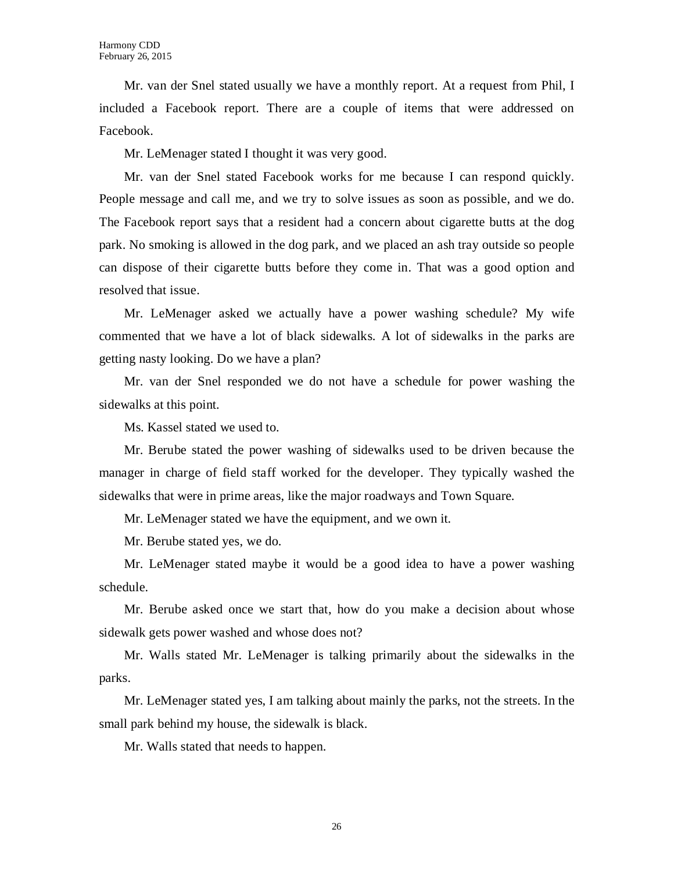Mr. van der Snel stated usually we have a monthly report. At a request from Phil, I included a Facebook report. There are a couple of items that were addressed on Facebook.

Mr. LeMenager stated I thought it was very good.

Mr. van der Snel stated Facebook works for me because I can respond quickly. People message and call me, and we try to solve issues as soon as possible, and we do. The Facebook report says that a resident had a concern about cigarette butts at the dog park. No smoking is allowed in the dog park, and we placed an ash tray outside so people can dispose of their cigarette butts before they come in. That was a good option and resolved that issue.

Mr. LeMenager asked we actually have a power washing schedule? My wife commented that we have a lot of black sidewalks. A lot of sidewalks in the parks are getting nasty looking. Do we have a plan?

Mr. van der Snel responded we do not have a schedule for power washing the sidewalks at this point.

Ms. Kassel stated we used to.

Mr. Berube stated the power washing of sidewalks used to be driven because the manager in charge of field staff worked for the developer. They typically washed the sidewalks that were in prime areas, like the major roadways and Town Square.

Mr. LeMenager stated we have the equipment, and we own it.

Mr. Berube stated yes, we do.

Mr. LeMenager stated maybe it would be a good idea to have a power washing schedule.

Mr. Berube asked once we start that, how do you make a decision about whose sidewalk gets power washed and whose does not?

Mr. Walls stated Mr. LeMenager is talking primarily about the sidewalks in the parks.

Mr. LeMenager stated yes, I am talking about mainly the parks, not the streets. In the small park behind my house, the sidewalk is black.

Mr. Walls stated that needs to happen.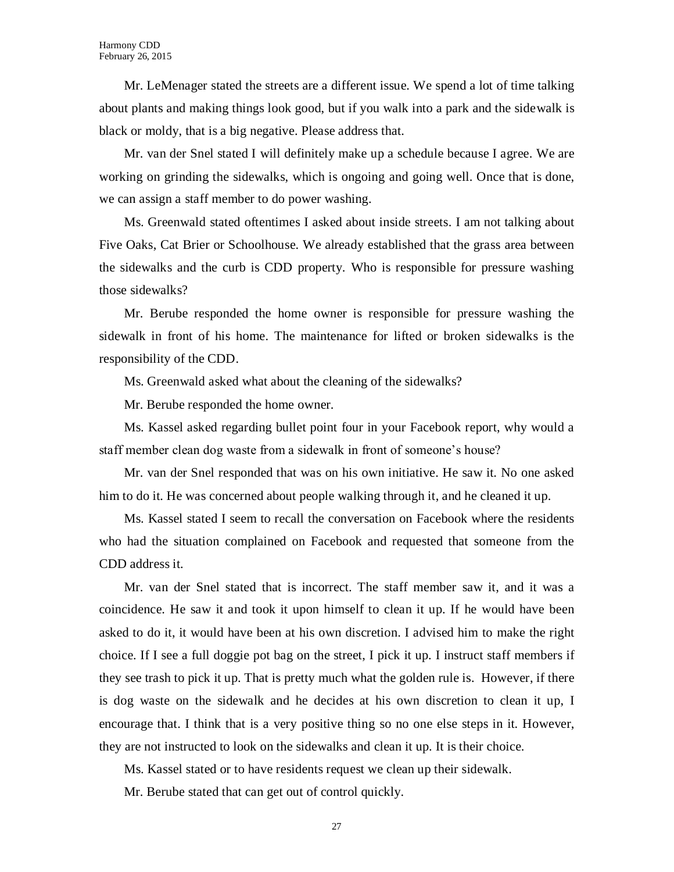Mr. LeMenager stated the streets are a different issue. We spend a lot of time talking about plants and making things look good, but if you walk into a park and the sidewalk is black or moldy, that is a big negative. Please address that.

Mr. van der Snel stated I will definitely make up a schedule because I agree. We are working on grinding the sidewalks, which is ongoing and going well. Once that is done, we can assign a staff member to do power washing.

Ms. Greenwald stated oftentimes I asked about inside streets. I am not talking about Five Oaks, Cat Brier or Schoolhouse. We already established that the grass area between the sidewalks and the curb is CDD property. Who is responsible for pressure washing those sidewalks?

Mr. Berube responded the home owner is responsible for pressure washing the sidewalk in front of his home. The maintenance for lifted or broken sidewalks is the responsibility of the CDD.

Ms. Greenwald asked what about the cleaning of the sidewalks?

Mr. Berube responded the home owner.

Ms. Kassel asked regarding bullet point four in your Facebook report, why would a staff member clean dog waste from a sidewalk in front of someone's house?

Mr. van der Snel responded that was on his own initiative. He saw it. No one asked him to do it. He was concerned about people walking through it, and he cleaned it up.

Ms. Kassel stated I seem to recall the conversation on Facebook where the residents who had the situation complained on Facebook and requested that someone from the CDD address it.

Mr. van der Snel stated that is incorrect. The staff member saw it, and it was a coincidence. He saw it and took it upon himself to clean it up. If he would have been asked to do it, it would have been at his own discretion. I advised him to make the right choice. If I see a full doggie pot bag on the street, I pick it up. I instruct staff members if they see trash to pick it up. That is pretty much what the golden rule is. However, if there is dog waste on the sidewalk and he decides at his own discretion to clean it up, I encourage that. I think that is a very positive thing so no one else steps in it. However, they are not instructed to look on the sidewalks and clean it up. It is their choice.

Ms. Kassel stated or to have residents request we clean up their sidewalk.

Mr. Berube stated that can get out of control quickly.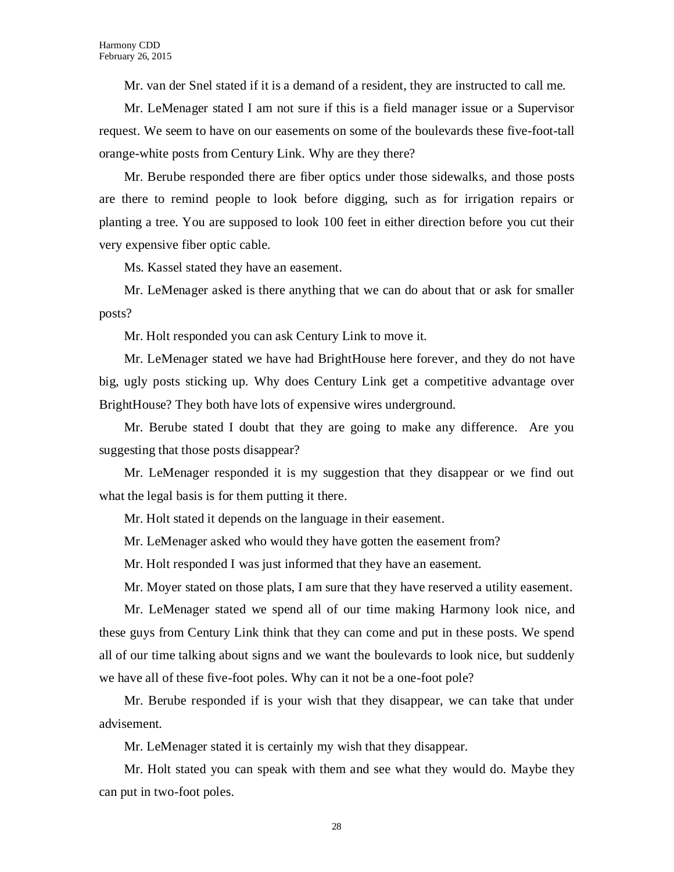Mr. van der Snel stated if it is a demand of a resident, they are instructed to call me.

Mr. LeMenager stated I am not sure if this is a field manager issue or a Supervisor request. We seem to have on our easements on some of the boulevards these five-foot-tall orange-white posts from Century Link. Why are they there?

Mr. Berube responded there are fiber optics under those sidewalks, and those posts are there to remind people to look before digging, such as for irrigation repairs or planting a tree. You are supposed to look 100 feet in either direction before you cut their very expensive fiber optic cable.

Ms. Kassel stated they have an easement.

Mr. LeMenager asked is there anything that we can do about that or ask for smaller posts?

Mr. Holt responded you can ask Century Link to move it.

Mr. LeMenager stated we have had BrightHouse here forever, and they do not have big, ugly posts sticking up. Why does Century Link get a competitive advantage over BrightHouse? They both have lots of expensive wires underground.

Mr. Berube stated I doubt that they are going to make any difference. Are you suggesting that those posts disappear?

Mr. LeMenager responded it is my suggestion that they disappear or we find out what the legal basis is for them putting it there.

Mr. Holt stated it depends on the language in their easement.

Mr. LeMenager asked who would they have gotten the easement from?

Mr. Holt responded I was just informed that they have an easement.

Mr. Moyer stated on those plats, I am sure that they have reserved a utility easement.

Mr. LeMenager stated we spend all of our time making Harmony look nice, and these guys from Century Link think that they can come and put in these posts. We spend all of our time talking about signs and we want the boulevards to look nice, but suddenly we have all of these five-foot poles. Why can it not be a one-foot pole?

Mr. Berube responded if is your wish that they disappear, we can take that under advisement.

Mr. LeMenager stated it is certainly my wish that they disappear.

Mr. Holt stated you can speak with them and see what they would do. Maybe they can put in two-foot poles.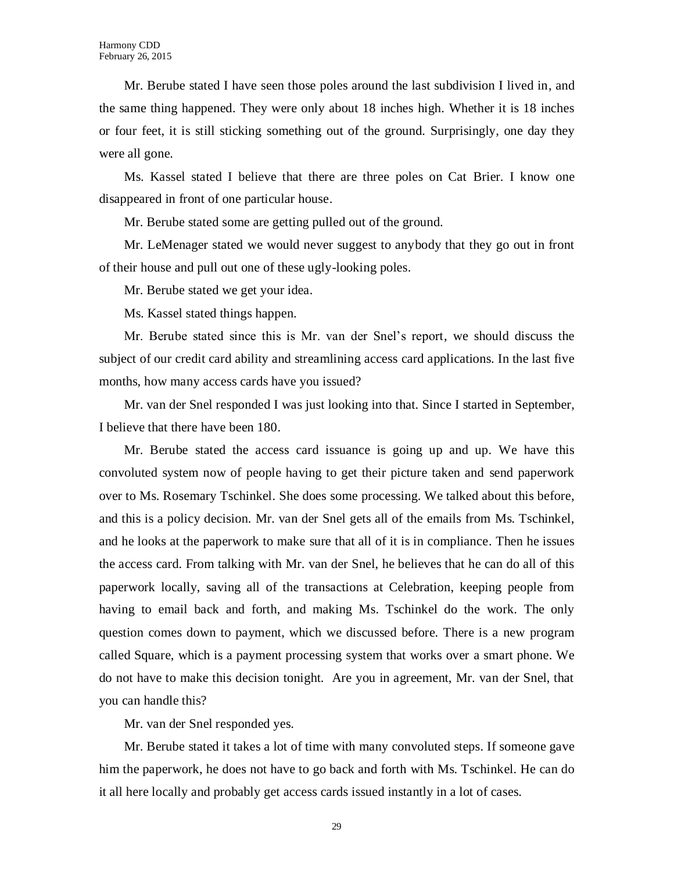Mr. Berube stated I have seen those poles around the last subdivision I lived in, and the same thing happened. They were only about 18 inches high. Whether it is 18 inches or four feet, it is still sticking something out of the ground. Surprisingly, one day they were all gone.

Ms. Kassel stated I believe that there are three poles on Cat Brier. I know one disappeared in front of one particular house.

Mr. Berube stated some are getting pulled out of the ground.

Mr. LeMenager stated we would never suggest to anybody that they go out in front of their house and pull out one of these ugly-looking poles.

Mr. Berube stated we get your idea.

Ms. Kassel stated things happen.

Mr. Berube stated since this is Mr. van der Snel's report, we should discuss the subject of our credit card ability and streamlining access card applications. In the last five months, how many access cards have you issued?

Mr. van der Snel responded I was just looking into that. Since I started in September, I believe that there have been 180.

Mr. Berube stated the access card issuance is going up and up. We have this convoluted system now of people having to get their picture taken and send paperwork over to Ms. Rosemary Tschinkel. She does some processing. We talked about this before, and this is a policy decision. Mr. van der Snel gets all of the emails from Ms. Tschinkel, and he looks at the paperwork to make sure that all of it is in compliance. Then he issues the access card. From talking with Mr. van der Snel, he believes that he can do all of this paperwork locally, saving all of the transactions at Celebration, keeping people from having to email back and forth, and making Ms. Tschinkel do the work. The only question comes down to payment, which we discussed before. There is a new program called Square, which is a payment processing system that works over a smart phone. We do not have to make this decision tonight. Are you in agreement, Mr. van der Snel, that you can handle this?

Mr. van der Snel responded yes.

Mr. Berube stated it takes a lot of time with many convoluted steps. If someone gave him the paperwork, he does not have to go back and forth with Ms. Tschinkel. He can do it all here locally and probably get access cards issued instantly in a lot of cases.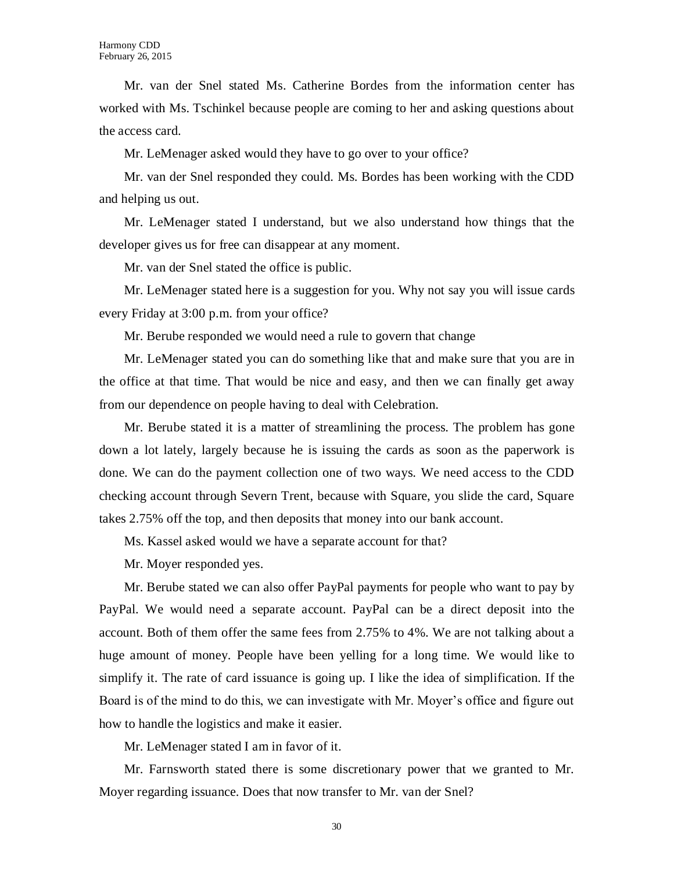Mr. van der Snel stated Ms. Catherine Bordes from the information center has worked with Ms. Tschinkel because people are coming to her and asking questions about the access card.

Mr. LeMenager asked would they have to go over to your office?

Mr. van der Snel responded they could. Ms. Bordes has been working with the CDD and helping us out.

Mr. LeMenager stated I understand, but we also understand how things that the developer gives us for free can disappear at any moment.

Mr. van der Snel stated the office is public.

Mr. LeMenager stated here is a suggestion for you. Why not say you will issue cards every Friday at 3:00 p.m. from your office?

Mr. Berube responded we would need a rule to govern that change

Mr. LeMenager stated you can do something like that and make sure that you are in the office at that time. That would be nice and easy, and then we can finally get away from our dependence on people having to deal with Celebration.

Mr. Berube stated it is a matter of streamlining the process. The problem has gone down a lot lately, largely because he is issuing the cards as soon as the paperwork is done. We can do the payment collection one of two ways. We need access to the CDD checking account through Severn Trent, because with Square, you slide the card, Square takes 2.75% off the top, and then deposits that money into our bank account.

Ms. Kassel asked would we have a separate account for that?

Mr. Moyer responded yes.

Mr. Berube stated we can also offer PayPal payments for people who want to pay by PayPal. We would need a separate account. PayPal can be a direct deposit into the account. Both of them offer the same fees from 2.75% to 4%. We are not talking about a huge amount of money. People have been yelling for a long time. We would like to simplify it. The rate of card issuance is going up. I like the idea of simplification. If the Board is of the mind to do this, we can investigate with Mr. Moyer's office and figure out how to handle the logistics and make it easier.

Mr. LeMenager stated I am in favor of it.

Mr. Farnsworth stated there is some discretionary power that we granted to Mr. Moyer regarding issuance. Does that now transfer to Mr. van der Snel?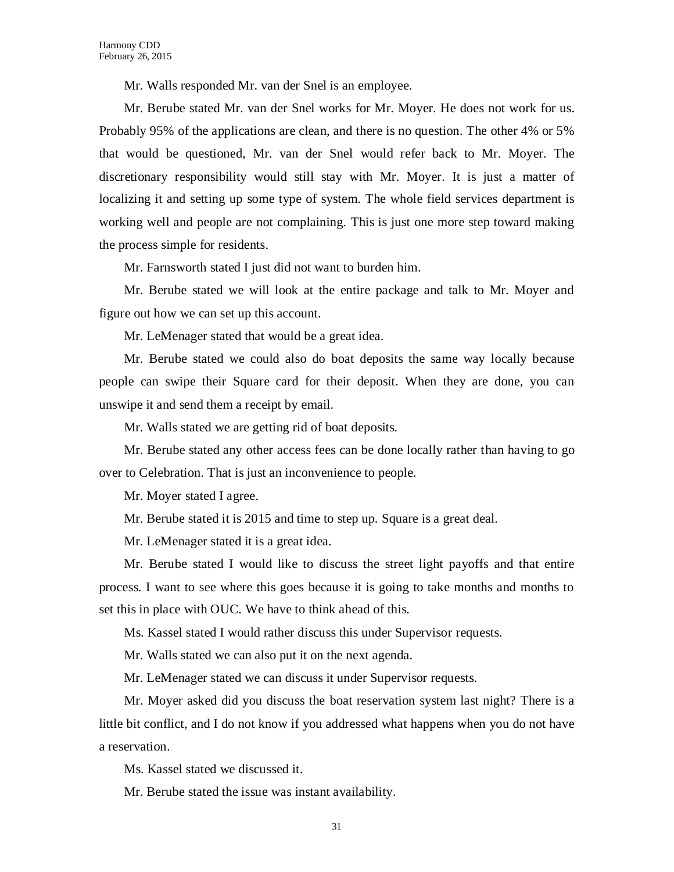Mr. Walls responded Mr. van der Snel is an employee.

Mr. Berube stated Mr. van der Snel works for Mr. Moyer. He does not work for us. Probably 95% of the applications are clean, and there is no question. The other 4% or 5% that would be questioned, Mr. van der Snel would refer back to Mr. Moyer. The discretionary responsibility would still stay with Mr. Moyer. It is just a matter of localizing it and setting up some type of system. The whole field services department is working well and people are not complaining. This is just one more step toward making the process simple for residents.

Mr. Farnsworth stated I just did not want to burden him.

Mr. Berube stated we will look at the entire package and talk to Mr. Moyer and figure out how we can set up this account.

Mr. LeMenager stated that would be a great idea.

Mr. Berube stated we could also do boat deposits the same way locally because people can swipe their Square card for their deposit. When they are done, you can unswipe it and send them a receipt by email.

Mr. Walls stated we are getting rid of boat deposits.

Mr. Berube stated any other access fees can be done locally rather than having to go over to Celebration. That is just an inconvenience to people.

Mr. Moyer stated I agree.

Mr. Berube stated it is 2015 and time to step up. Square is a great deal.

Mr. LeMenager stated it is a great idea.

Mr. Berube stated I would like to discuss the street light payoffs and that entire process. I want to see where this goes because it is going to take months and months to set this in place with OUC. We have to think ahead of this.

Ms. Kassel stated I would rather discuss this under Supervisor requests.

Mr. Walls stated we can also put it on the next agenda.

Mr. LeMenager stated we can discuss it under Supervisor requests.

Mr. Moyer asked did you discuss the boat reservation system last night? There is a little bit conflict, and I do not know if you addressed what happens when you do not have a reservation.

Ms. Kassel stated we discussed it.

Mr. Berube stated the issue was instant availability.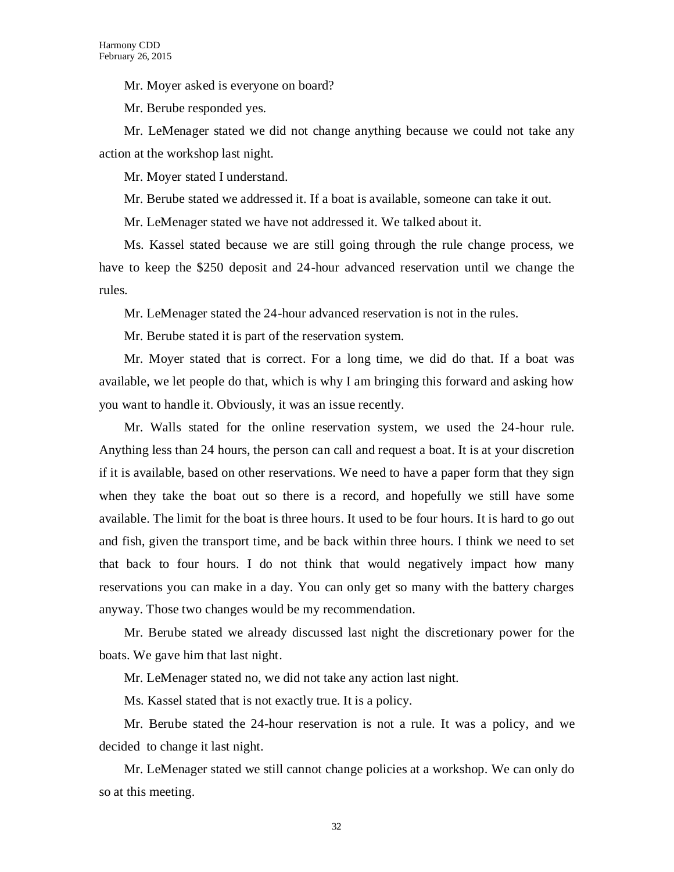Mr. Moyer asked is everyone on board?

Mr. Berube responded yes.

Mr. LeMenager stated we did not change anything because we could not take any action at the workshop last night.

Mr. Moyer stated I understand.

Mr. Berube stated we addressed it. If a boat is available, someone can take it out.

Mr. LeMenager stated we have not addressed it. We talked about it.

Ms. Kassel stated because we are still going through the rule change process, we have to keep the \$250 deposit and 24-hour advanced reservation until we change the rules.

Mr. LeMenager stated the 24-hour advanced reservation is not in the rules.

Mr. Berube stated it is part of the reservation system.

Mr. Moyer stated that is correct. For a long time, we did do that. If a boat was available, we let people do that, which is why I am bringing this forward and asking how you want to handle it. Obviously, it was an issue recently.

Mr. Walls stated for the online reservation system, we used the 24-hour rule. Anything less than 24 hours, the person can call and request a boat. It is at your discretion if it is available, based on other reservations. We need to have a paper form that they sign when they take the boat out so there is a record, and hopefully we still have some available. The limit for the boat is three hours. It used to be four hours. It is hard to go out and fish, given the transport time, and be back within three hours. I think we need to set that back to four hours. I do not think that would negatively impact how many reservations you can make in a day. You can only get so many with the battery charges anyway. Those two changes would be my recommendation.

Mr. Berube stated we already discussed last night the discretionary power for the boats. We gave him that last night.

Mr. LeMenager stated no, we did not take any action last night.

Ms. Kassel stated that is not exactly true. It is a policy.

Mr. Berube stated the 24-hour reservation is not a rule. It was a policy, and we decided to change it last night.

Mr. LeMenager stated we still cannot change policies at a workshop. We can only do so at this meeting.

32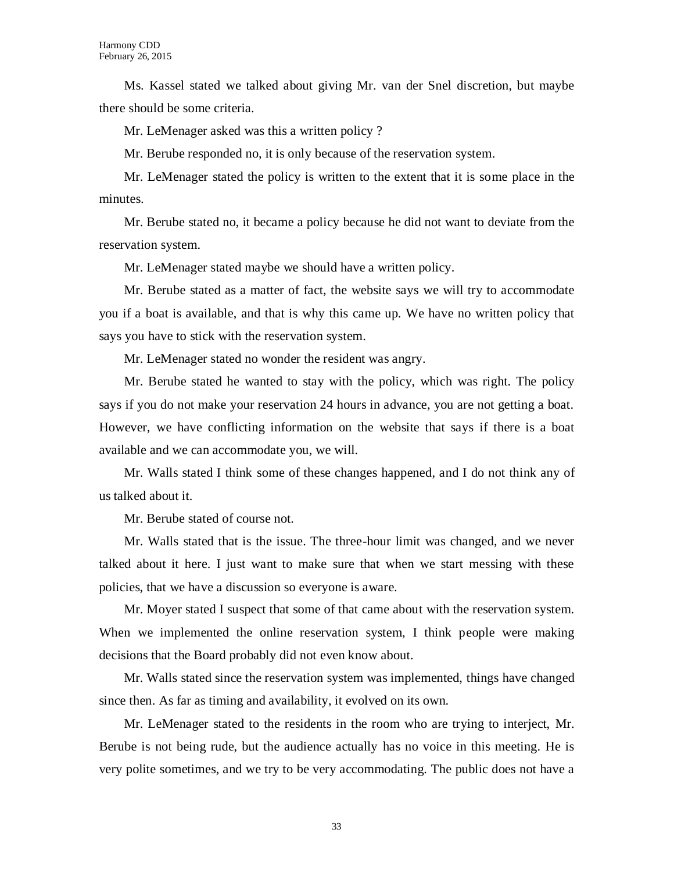Ms. Kassel stated we talked about giving Mr. van der Snel discretion, but maybe there should be some criteria.

Mr. LeMenager asked was this a written policy ?

Mr. Berube responded no, it is only because of the reservation system.

Mr. LeMenager stated the policy is written to the extent that it is some place in the minutes.

Mr. Berube stated no, it became a policy because he did not want to deviate from the reservation system.

Mr. LeMenager stated maybe we should have a written policy.

Mr. Berube stated as a matter of fact, the website says we will try to accommodate you if a boat is available, and that is why this came up. We have no written policy that says you have to stick with the reservation system.

Mr. LeMenager stated no wonder the resident was angry.

Mr. Berube stated he wanted to stay with the policy, which was right. The policy says if you do not make your reservation 24 hours in advance, you are not getting a boat. However, we have conflicting information on the website that says if there is a boat available and we can accommodate you, we will.

Mr. Walls stated I think some of these changes happened, and I do not think any of us talked about it.

Mr. Berube stated of course not.

Mr. Walls stated that is the issue. The three-hour limit was changed, and we never talked about it here. I just want to make sure that when we start messing with these policies, that we have a discussion so everyone is aware.

Mr. Moyer stated I suspect that some of that came about with the reservation system. When we implemented the online reservation system, I think people were making decisions that the Board probably did not even know about.

Mr. Walls stated since the reservation system was implemented, things have changed since then. As far as timing and availability, it evolved on its own.

Mr. LeMenager stated to the residents in the room who are trying to interject, Mr. Berube is not being rude, but the audience actually has no voice in this meeting. He is very polite sometimes, and we try to be very accommodating. The public does not have a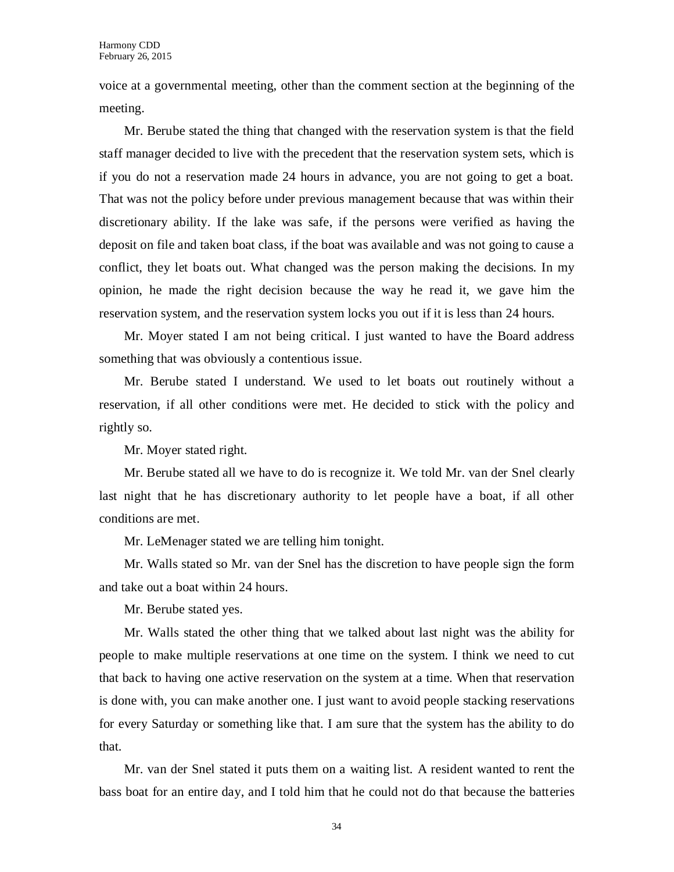voice at a governmental meeting, other than the comment section at the beginning of the meeting.

Mr. Berube stated the thing that changed with the reservation system is that the field staff manager decided to live with the precedent that the reservation system sets, which is if you do not a reservation made 24 hours in advance, you are not going to get a boat. That was not the policy before under previous management because that was within their discretionary ability. If the lake was safe, if the persons were verified as having the deposit on file and taken boat class, if the boat was available and was not going to cause a conflict, they let boats out. What changed was the person making the decisions. In my opinion, he made the right decision because the way he read it, we gave him the reservation system, and the reservation system locks you out if it is less than 24 hours.

Mr. Moyer stated I am not being critical. I just wanted to have the Board address something that was obviously a contentious issue.

Mr. Berube stated I understand. We used to let boats out routinely without a reservation, if all other conditions were met. He decided to stick with the policy and rightly so.

Mr. Moyer stated right.

Mr. Berube stated all we have to do is recognize it. We told Mr. van der Snel clearly last night that he has discretionary authority to let people have a boat, if all other conditions are met.

Mr. LeMenager stated we are telling him tonight.

Mr. Walls stated so Mr. van der Snel has the discretion to have people sign the form and take out a boat within 24 hours.

Mr. Berube stated yes.

Mr. Walls stated the other thing that we talked about last night was the ability for people to make multiple reservations at one time on the system. I think we need to cut that back to having one active reservation on the system at a time. When that reservation is done with, you can make another one. I just want to avoid people stacking reservations for every Saturday or something like that. I am sure that the system has the ability to do that.

Mr. van der Snel stated it puts them on a waiting list. A resident wanted to rent the bass boat for an entire day, and I told him that he could not do that because the batteries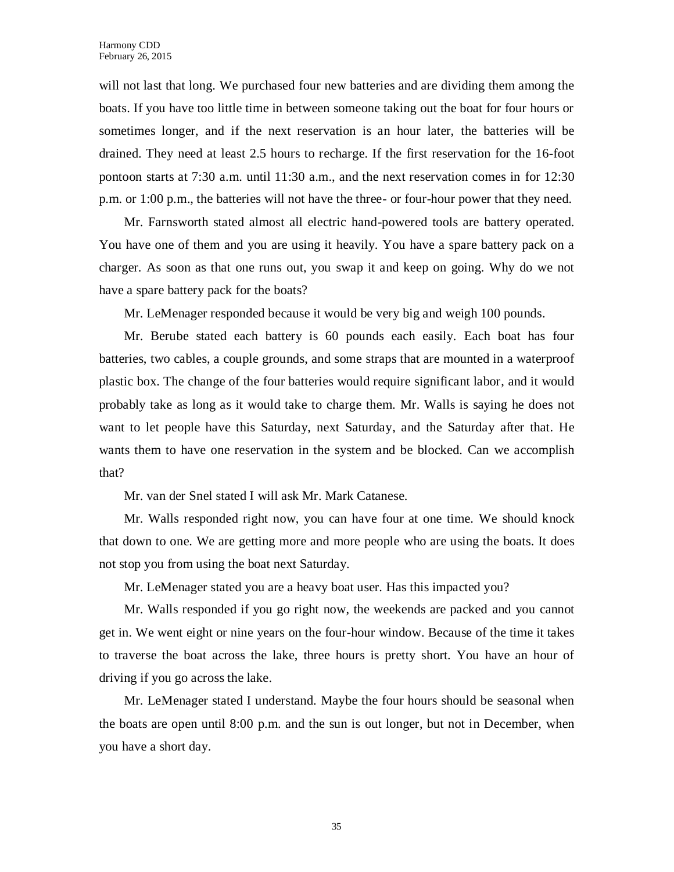will not last that long. We purchased four new batteries and are dividing them among the boats. If you have too little time in between someone taking out the boat for four hours or sometimes longer, and if the next reservation is an hour later, the batteries will be drained. They need at least 2.5 hours to recharge. If the first reservation for the 16-foot pontoon starts at 7:30 a.m. until 11:30 a.m., and the next reservation comes in for 12:30 p.m. or 1:00 p.m., the batteries will not have the three- or four-hour power that they need.

Mr. Farnsworth stated almost all electric hand-powered tools are battery operated. You have one of them and you are using it heavily. You have a spare battery pack on a charger. As soon as that one runs out, you swap it and keep on going. Why do we not have a spare battery pack for the boats?

Mr. LeMenager responded because it would be very big and weigh 100 pounds.

Mr. Berube stated each battery is 60 pounds each easily. Each boat has four batteries, two cables, a couple grounds, and some straps that are mounted in a waterproof plastic box. The change of the four batteries would require significant labor, and it would probably take as long as it would take to charge them. Mr. Walls is saying he does not want to let people have this Saturday, next Saturday, and the Saturday after that. He wants them to have one reservation in the system and be blocked. Can we accomplish that?

Mr. van der Snel stated I will ask Mr. Mark Catanese.

Mr. Walls responded right now, you can have four at one time. We should knock that down to one. We are getting more and more people who are using the boats. It does not stop you from using the boat next Saturday.

Mr. LeMenager stated you are a heavy boat user. Has this impacted you?

Mr. Walls responded if you go right now, the weekends are packed and you cannot get in. We went eight or nine years on the four-hour window. Because of the time it takes to traverse the boat across the lake, three hours is pretty short. You have an hour of driving if you go across the lake.

Mr. LeMenager stated I understand. Maybe the four hours should be seasonal when the boats are open until 8:00 p.m. and the sun is out longer, but not in December, when you have a short day.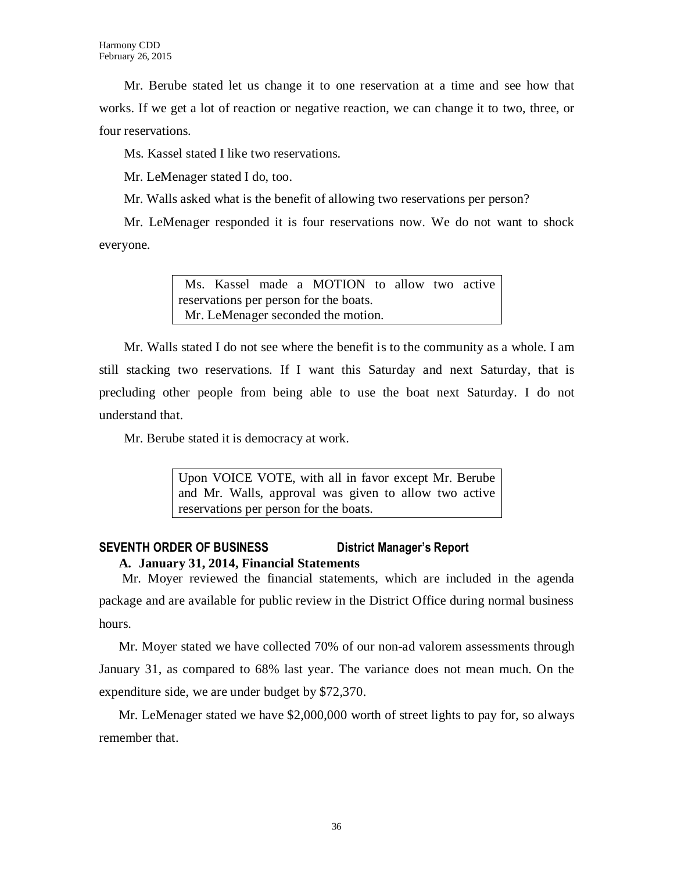Mr. Berube stated let us change it to one reservation at a time and see how that works. If we get a lot of reaction or negative reaction, we can change it to two, three, or four reservations.

Ms. Kassel stated I like two reservations.

Mr. LeMenager stated I do, too.

Mr. Walls asked what is the benefit of allowing two reservations per person?

Mr. LeMenager responded it is four reservations now. We do not want to shock everyone.

> Ms. Kassel made a MOTION to allow two active reservations per person for the boats. Mr. LeMenager seconded the motion.

Mr. Walls stated I do not see where the benefit is to the community as a whole. I am still stacking two reservations. If I want this Saturday and next Saturday, that is precluding other people from being able to use the boat next Saturday. I do not understand that.

Mr. Berube stated it is democracy at work.

Upon VOICE VOTE, with all in favor except Mr. Berube and Mr. Walls, approval was given to allow two active reservations per person for the boats.

# **SEVENTH ORDER OF BUSINESS District Manager's Report A. January 31, 2014, Financial Statements**

Mr. Moyer reviewed the financial statements, which are included in the agenda package and are available for public review in the District Office during normal business hours.

Mr. Moyer stated we have collected 70% of our non-ad valorem assessments through January 31, as compared to 68% last year. The variance does not mean much. On the expenditure side, we are under budget by \$72,370.

Mr. LeMenager stated we have \$2,000,000 worth of street lights to pay for, so always remember that.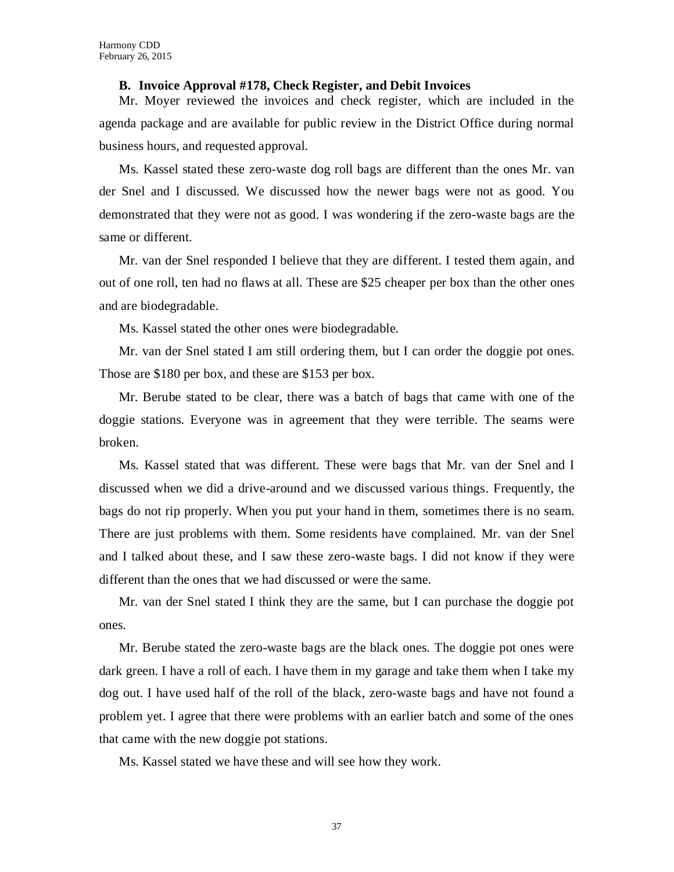### **B. Invoice Approval #178, Check Register, and Debit Invoices**

Mr. Moyer reviewed the invoices and check register, which are included in the agenda package and are available for public review in the District Office during normal business hours, and requested approval.

Ms. Kassel stated these zero-waste dog roll bags are different than the ones Mr. van der Snel and I discussed. We discussed how the newer bags were not as good. You demonstrated that they were not as good. I was wondering if the zero-waste bags are the same or different.

Mr. van der Snel responded I believe that they are different. I tested them again, and out of one roll, ten had no flaws at all. These are \$25 cheaper per box than the other ones and are biodegradable.

Ms. Kassel stated the other ones were biodegradable.

Mr. van der Snel stated I am still ordering them, but I can order the doggie pot ones. Those are \$180 per box, and these are \$153 per box.

Mr. Berube stated to be clear, there was a batch of bags that came with one of the doggie stations. Everyone was in agreement that they were terrible. The seams were broken.

Ms. Kassel stated that was different. These were bags that Mr. van der Snel and I discussed when we did a drive-around and we discussed various things. Frequently, the bags do not rip properly. When you put your hand in them, sometimes there is no seam. There are just problems with them. Some residents have complained. Mr. van der Snel and I talked about these, and I saw these zero-waste bags. I did not know if they were different than the ones that we had discussed or were the same.

Mr. van der Snel stated I think they are the same, but I can purchase the doggie pot ones.

Mr. Berube stated the zero-waste bags are the black ones. The doggie pot ones were dark green. I have a roll of each. I have them in my garage and take them when I take my dog out. I have used half of the roll of the black, zero-waste bags and have not found a problem yet. I agree that there were problems with an earlier batch and some of the ones that came with the new doggie pot stations.

Ms. Kassel stated we have these and will see how they work.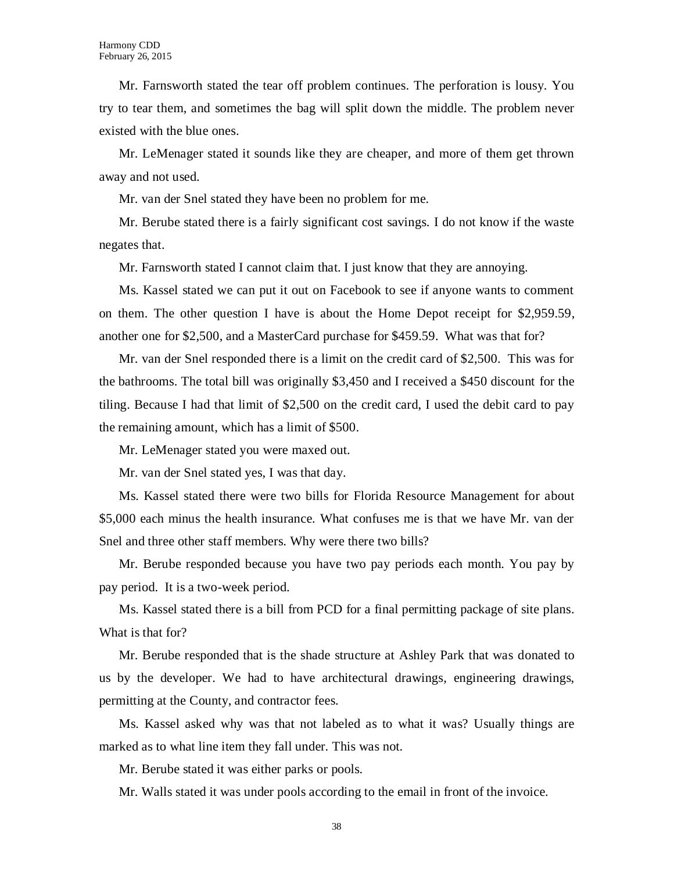Mr. Farnsworth stated the tear off problem continues. The perforation is lousy. You try to tear them, and sometimes the bag will split down the middle. The problem never existed with the blue ones.

Mr. LeMenager stated it sounds like they are cheaper, and more of them get thrown away and not used.

Mr. van der Snel stated they have been no problem for me.

Mr. Berube stated there is a fairly significant cost savings. I do not know if the waste negates that.

Mr. Farnsworth stated I cannot claim that. I just know that they are annoying.

Ms. Kassel stated we can put it out on Facebook to see if anyone wants to comment on them. The other question I have is about the Home Depot receipt for \$2,959.59, another one for \$2,500, and a MasterCard purchase for \$459.59. What was that for?

Mr. van der Snel responded there is a limit on the credit card of \$2,500. This was for the bathrooms. The total bill was originally \$3,450 and I received a \$450 discount for the tiling. Because I had that limit of \$2,500 on the credit card, I used the debit card to pay the remaining amount, which has a limit of \$500.

Mr. LeMenager stated you were maxed out.

Mr. van der Snel stated yes, I was that day.

Ms. Kassel stated there were two bills for Florida Resource Management for about \$5,000 each minus the health insurance. What confuses me is that we have Mr. van der Snel and three other staff members. Why were there two bills?

Mr. Berube responded because you have two pay periods each month. You pay by pay period. It is a two-week period.

Ms. Kassel stated there is a bill from PCD for a final permitting package of site plans. What is that for?

Mr. Berube responded that is the shade structure at Ashley Park that was donated to us by the developer. We had to have architectural drawings, engineering drawings, permitting at the County, and contractor fees.

Ms. Kassel asked why was that not labeled as to what it was? Usually things are marked as to what line item they fall under. This was not.

Mr. Berube stated it was either parks or pools.

Mr. Walls stated it was under pools according to the email in front of the invoice.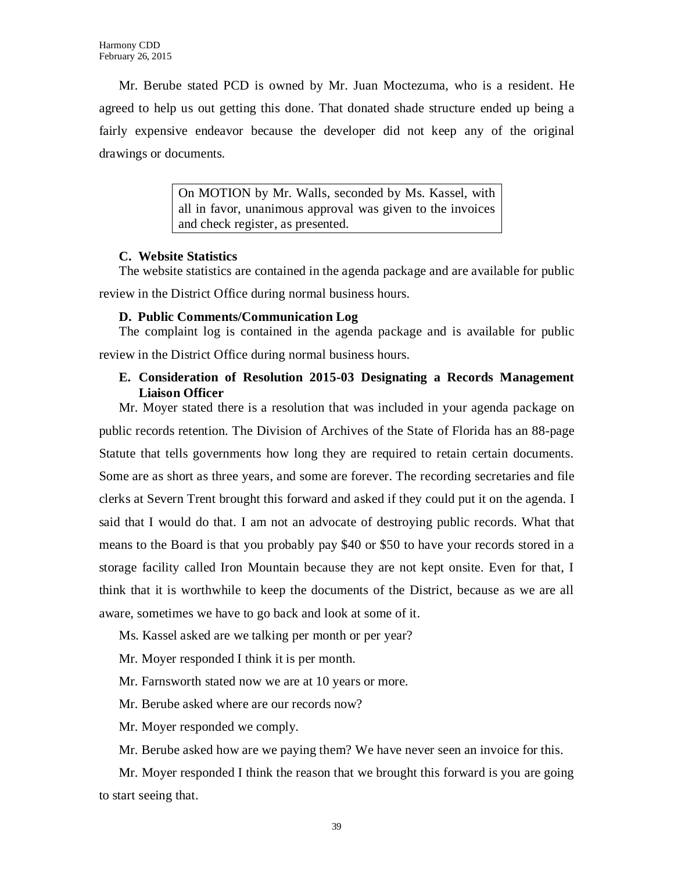Mr. Berube stated PCD is owned by Mr. Juan Moctezuma, who is a resident. He agreed to help us out getting this done. That donated shade structure ended up being a fairly expensive endeavor because the developer did not keep any of the original drawings or documents.

> On MOTION by Mr. Walls, seconded by Ms. Kassel, with all in favor, unanimous approval was given to the invoices and check register, as presented.

# **C. Website Statistics**

The website statistics are contained in the agenda package and are available for public review in the District Office during normal business hours.

# **D. Public Comments/Communication Log**

The complaint log is contained in the agenda package and is available for public review in the District Office during normal business hours.

# **E. Consideration of Resolution 2015-03 Designating a Records Management Liaison Officer**

Mr. Moyer stated there is a resolution that was included in your agenda package on public records retention. The Division of Archives of the State of Florida has an 88-page Statute that tells governments how long they are required to retain certain documents. Some are as short as three years, and some are forever. The recording secretaries and file clerks at Severn Trent brought this forward and asked if they could put it on the agenda. I said that I would do that. I am not an advocate of destroying public records. What that means to the Board is that you probably pay \$40 or \$50 to have your records stored in a storage facility called Iron Mountain because they are not kept onsite. Even for that, I think that it is worthwhile to keep the documents of the District, because as we are all aware, sometimes we have to go back and look at some of it.

Ms. Kassel asked are we talking per month or per year?

Mr. Moyer responded I think it is per month.

Mr. Farnsworth stated now we are at 10 years or more.

Mr. Berube asked where are our records now?

Mr. Moyer responded we comply.

Mr. Berube asked how are we paying them? We have never seen an invoice for this.

Mr. Moyer responded I think the reason that we brought this forward is you are going to start seeing that.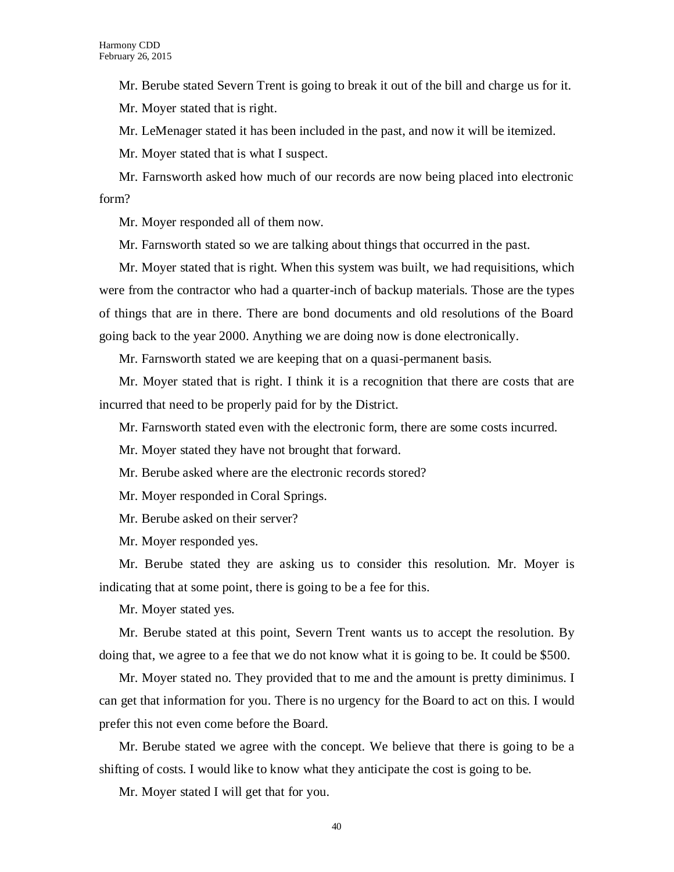Mr. Berube stated Severn Trent is going to break it out of the bill and charge us for it. Mr. Moyer stated that is right.

Mr. LeMenager stated it has been included in the past, and now it will be itemized.

Mr. Moyer stated that is what I suspect.

Mr. Farnsworth asked how much of our records are now being placed into electronic form?

Mr. Moyer responded all of them now.

Mr. Farnsworth stated so we are talking about things that occurred in the past.

Mr. Moyer stated that is right. When this system was built, we had requisitions, which were from the contractor who had a quarter-inch of backup materials. Those are the types of things that are in there. There are bond documents and old resolutions of the Board going back to the year 2000. Anything we are doing now is done electronically.

Mr. Farnsworth stated we are keeping that on a quasi-permanent basis.

Mr. Moyer stated that is right. I think it is a recognition that there are costs that are incurred that need to be properly paid for by the District.

Mr. Farnsworth stated even with the electronic form, there are some costs incurred.

Mr. Moyer stated they have not brought that forward.

Mr. Berube asked where are the electronic records stored?

Mr. Moyer responded in Coral Springs.

Mr. Berube asked on their server?

Mr. Moyer responded yes.

Mr. Berube stated they are asking us to consider this resolution. Mr. Moyer is indicating that at some point, there is going to be a fee for this.

Mr. Moyer stated yes.

Mr. Berube stated at this point, Severn Trent wants us to accept the resolution. By doing that, we agree to a fee that we do not know what it is going to be. It could be \$500.

Mr. Moyer stated no. They provided that to me and the amount is pretty diminimus. I can get that information for you. There is no urgency for the Board to act on this. I would prefer this not even come before the Board.

Mr. Berube stated we agree with the concept. We believe that there is going to be a shifting of costs. I would like to know what they anticipate the cost is going to be.

Mr. Moyer stated I will get that for you.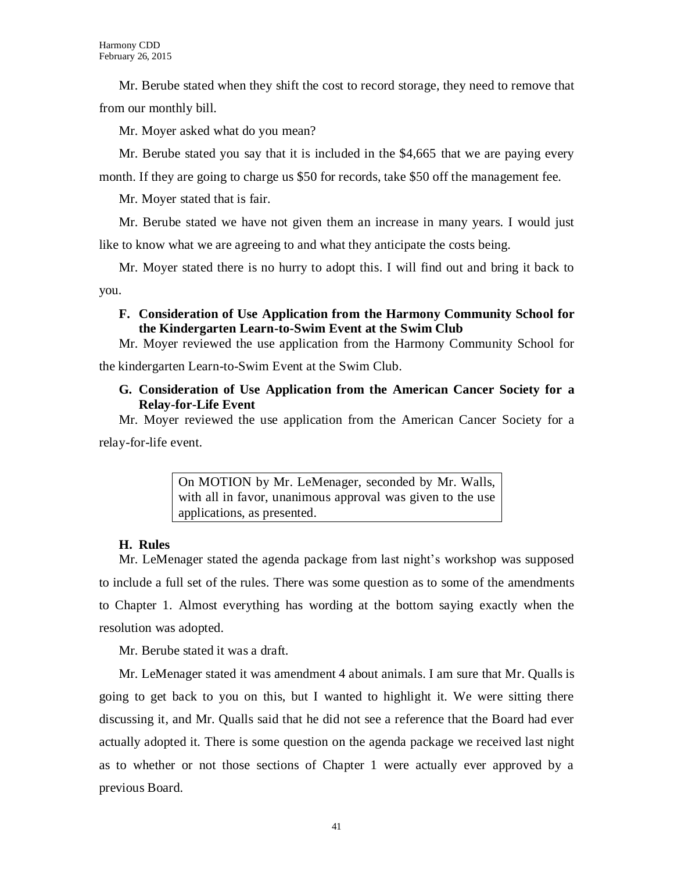Mr. Berube stated when they shift the cost to record storage, they need to remove that from our monthly bill.

Mr. Moyer asked what do you mean?

Mr. Berube stated you say that it is included in the \$4,665 that we are paying every month. If they are going to charge us \$50 for records, take \$50 off the management fee.

Mr. Moyer stated that is fair.

Mr. Berube stated we have not given them an increase in many years. I would just

like to know what we are agreeing to and what they anticipate the costs being.

Mr. Moyer stated there is no hurry to adopt this. I will find out and bring it back to you.

# **F. Consideration of Use Application from the Harmony Community School for the Kindergarten Learn-to-Swim Event at the Swim Club**

Mr. Moyer reviewed the use application from the Harmony Community School for

the kindergarten Learn-to-Swim Event at the Swim Club.

# **G. Consideration of Use Application from the American Cancer Society for a Relay-for-Life Event**

Mr. Moyer reviewed the use application from the American Cancer Society for a relay-for-life event.

> On MOTION by Mr. LeMenager, seconded by Mr. Walls, with all in favor, unanimous approval was given to the use applications, as presented.

# **H. Rules**

Mr. LeMenager stated the agenda package from last night's workshop was supposed to include a full set of the rules. There was some question as to some of the amendments to Chapter 1. Almost everything has wording at the bottom saying exactly when the resolution was adopted.

Mr. Berube stated it was a draft.

Mr. LeMenager stated it was amendment 4 about animals. I am sure that Mr. Qualls is going to get back to you on this, but I wanted to highlight it. We were sitting there discussing it, and Mr. Qualls said that he did not see a reference that the Board had ever actually adopted it. There is some question on the agenda package we received last night as to whether or not those sections of Chapter 1 were actually ever approved by a previous Board.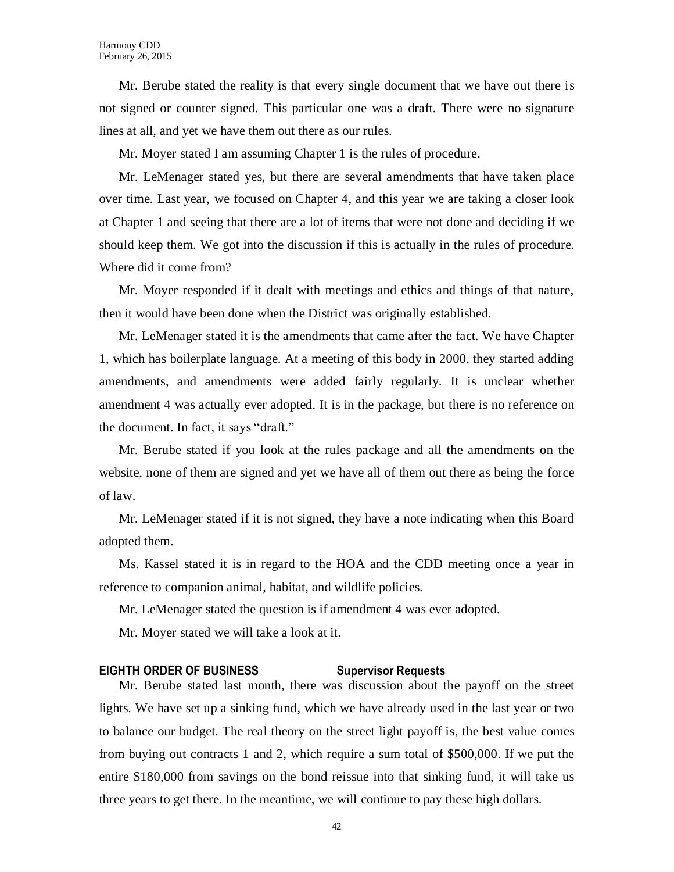Mr. Berube stated the reality is that every single document that we have out there is not signed or counter signed. This particular one was a draft. There were no signature lines at all, and yet we have them out there as our rules.

Mr. Moyer stated I am assuming Chapter 1 is the rules of procedure.

Mr. LeMenager stated yes, but there are several amendments that have taken place over time. Last year, we focused on Chapter 4, and this year we are taking a closer look at Chapter 1 and seeing that there are a lot of items that were not done and deciding if we should keep them. We got into the discussion if this is actually in the rules of procedure. Where did it come from?

Mr. Moyer responded if it dealt with meetings and ethics and things of that nature, then it would have been done when the District was originally established.

Mr. LeMenager stated it is the amendments that came after the fact. We have Chapter 1, which has boilerplate language. At a meeting of this body in 2000, they started adding amendments, and amendments were added fairly regularly. It is unclear whether amendment 4 was actually ever adopted. It is in the package, but there is no reference on the document. In fact, it says "draft."

Mr. Berube stated if you look at the rules package and all the amendments on the website, none of them are signed and yet we have all of them out there as being the force of law.

Mr. LeMenager stated if it is not signed, they have a note indicating when this Board adopted them.

Ms. Kassel stated it is in regard to the HOA and the CDD meeting once a year in reference to companion animal, habitat, and wildlife policies.

Mr. LeMenager stated the question is if amendment 4 was ever adopted.

Mr. Moyer stated we will take a look at it.

### **EIGHTH ORDER OF BUSINESS Supervisor Requests**

Mr. Berube stated last month, there was discussion about the payoff on the street lights. We have set up a sinking fund, which we have already used in the last year or two to balance our budget. The real theory on the street light payoff is, the best value comes from buying out contracts 1 and 2, which require a sum total of \$500,000. If we put the entire \$180,000 from savings on the bond reissue into that sinking fund, it will take us three years to get there. In the meantime, we will continue to pay these high dollars.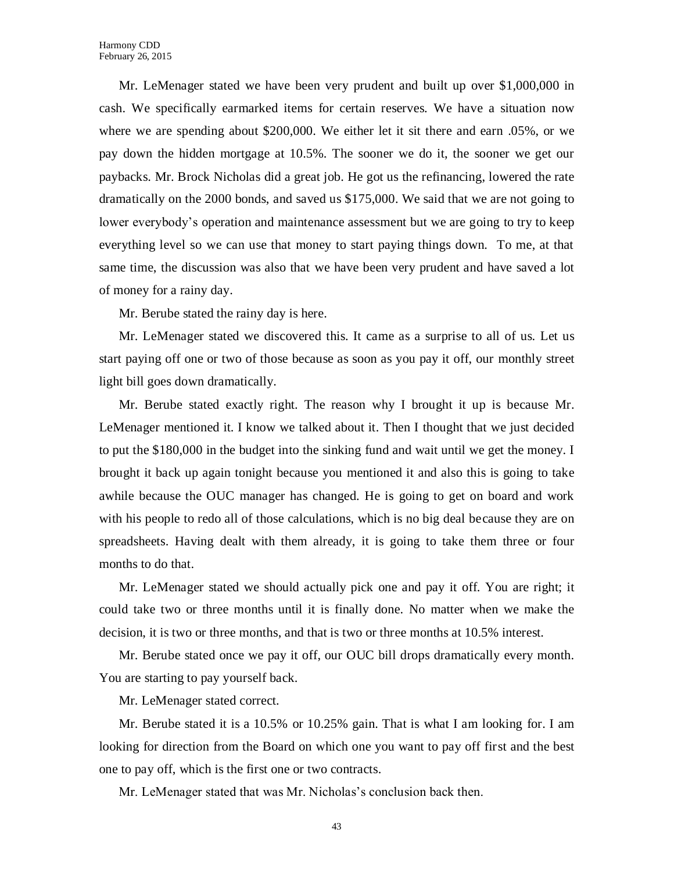Mr. LeMenager stated we have been very prudent and built up over \$1,000,000 in cash. We specifically earmarked items for certain reserves. We have a situation now where we are spending about \$200,000. We either let it sit there and earn .05%, or we pay down the hidden mortgage at 10.5%. The sooner we do it, the sooner we get our paybacks. Mr. Brock Nicholas did a great job. He got us the refinancing, lowered the rate dramatically on the 2000 bonds, and saved us \$175,000. We said that we are not going to lower everybody's operation and maintenance assessment but we are going to try to keep everything level so we can use that money to start paying things down. To me, at that same time, the discussion was also that we have been very prudent and have saved a lot of money for a rainy day.

Mr. Berube stated the rainy day is here.

Mr. LeMenager stated we discovered this. It came as a surprise to all of us. Let us start paying off one or two of those because as soon as you pay it off, our monthly street light bill goes down dramatically.

Mr. Berube stated exactly right. The reason why I brought it up is because Mr. LeMenager mentioned it. I know we talked about it. Then I thought that we just decided to put the \$180,000 in the budget into the sinking fund and wait until we get the money. I brought it back up again tonight because you mentioned it and also this is going to take awhile because the OUC manager has changed. He is going to get on board and work with his people to redo all of those calculations, which is no big deal because they are on spreadsheets. Having dealt with them already, it is going to take them three or four months to do that.

Mr. LeMenager stated we should actually pick one and pay it off. You are right; it could take two or three months until it is finally done. No matter when we make the decision, it is two or three months, and that is two or three months at 10.5% interest.

Mr. Berube stated once we pay it off, our OUC bill drops dramatically every month. You are starting to pay yourself back.

Mr. LeMenager stated correct.

Mr. Berube stated it is a 10.5% or 10.25% gain. That is what I am looking for. I am looking for direction from the Board on which one you want to pay off first and the best one to pay off, which is the first one or two contracts.

Mr. LeMenager stated that was Mr. Nicholas's conclusion back then.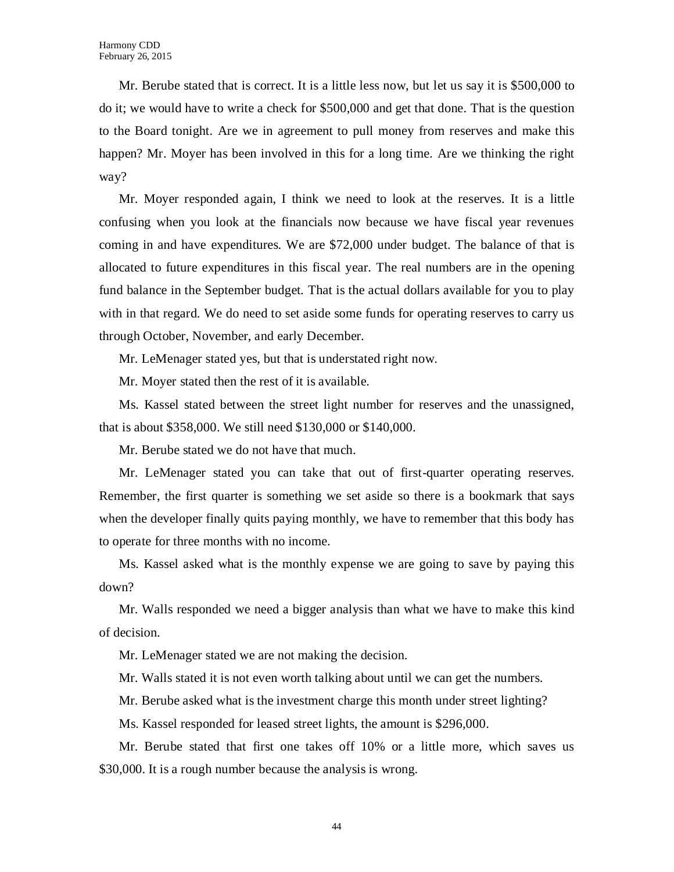Mr. Berube stated that is correct. It is a little less now, but let us say it is \$500,000 to do it; we would have to write a check for \$500,000 and get that done. That is the question to the Board tonight. Are we in agreement to pull money from reserves and make this happen? Mr. Moyer has been involved in this for a long time. Are we thinking the right way?

Mr. Moyer responded again, I think we need to look at the reserves. It is a little confusing when you look at the financials now because we have fiscal year revenues coming in and have expenditures. We are \$72,000 under budget. The balance of that is allocated to future expenditures in this fiscal year. The real numbers are in the opening fund balance in the September budget. That is the actual dollars available for you to play with in that regard. We do need to set aside some funds for operating reserves to carry us through October, November, and early December.

Mr. LeMenager stated yes, but that is understated right now.

Mr. Moyer stated then the rest of it is available.

Ms. Kassel stated between the street light number for reserves and the unassigned, that is about \$358,000. We still need \$130,000 or \$140,000.

Mr. Berube stated we do not have that much.

Mr. LeMenager stated you can take that out of first-quarter operating reserves. Remember, the first quarter is something we set aside so there is a bookmark that says when the developer finally quits paying monthly, we have to remember that this body has to operate for three months with no income.

Ms. Kassel asked what is the monthly expense we are going to save by paying this down?

Mr. Walls responded we need a bigger analysis than what we have to make this kind of decision.

Mr. LeMenager stated we are not making the decision.

Mr. Walls stated it is not even worth talking about until we can get the numbers.

Mr. Berube asked what is the investment charge this month under street lighting?

Ms. Kassel responded for leased street lights, the amount is \$296,000.

Mr. Berube stated that first one takes off 10% or a little more, which saves us \$30,000. It is a rough number because the analysis is wrong.

44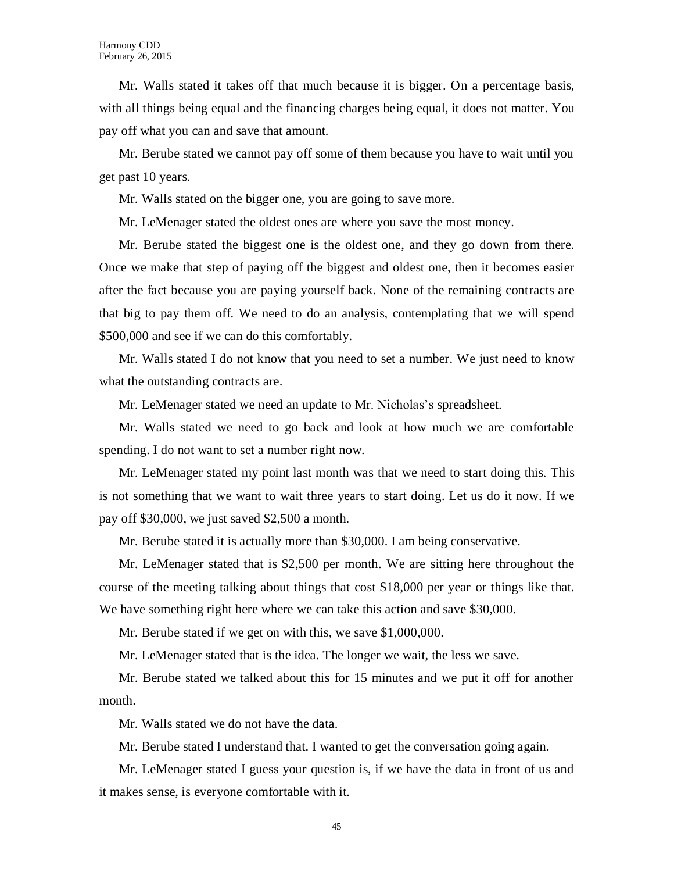Mr. Walls stated it takes off that much because it is bigger. On a percentage basis, with all things being equal and the financing charges being equal, it does not matter. You pay off what you can and save that amount.

Mr. Berube stated we cannot pay off some of them because you have to wait until you get past 10 years.

Mr. Walls stated on the bigger one, you are going to save more.

Mr. LeMenager stated the oldest ones are where you save the most money.

Mr. Berube stated the biggest one is the oldest one, and they go down from there. Once we make that step of paying off the biggest and oldest one, then it becomes easier after the fact because you are paying yourself back. None of the remaining contracts are that big to pay them off. We need to do an analysis, contemplating that we will spend \$500,000 and see if we can do this comfortably.

Mr. Walls stated I do not know that you need to set a number. We just need to know what the outstanding contracts are.

Mr. LeMenager stated we need an update to Mr. Nicholas's spreadsheet.

Mr. Walls stated we need to go back and look at how much we are comfortable spending. I do not want to set a number right now.

Mr. LeMenager stated my point last month was that we need to start doing this. This is not something that we want to wait three years to start doing. Let us do it now. If we pay off \$30,000, we just saved \$2,500 a month.

Mr. Berube stated it is actually more than \$30,000. I am being conservative.

Mr. LeMenager stated that is \$2,500 per month. We are sitting here throughout the course of the meeting talking about things that cost \$18,000 per year or things like that. We have something right here where we can take this action and save \$30,000.

Mr. Berube stated if we get on with this, we save \$1,000,000.

Mr. LeMenager stated that is the idea. The longer we wait, the less we save.

Mr. Berube stated we talked about this for 15 minutes and we put it off for another month.

Mr. Walls stated we do not have the data.

Mr. Berube stated I understand that. I wanted to get the conversation going again.

Mr. LeMenager stated I guess your question is, if we have the data in front of us and it makes sense, is everyone comfortable with it.

45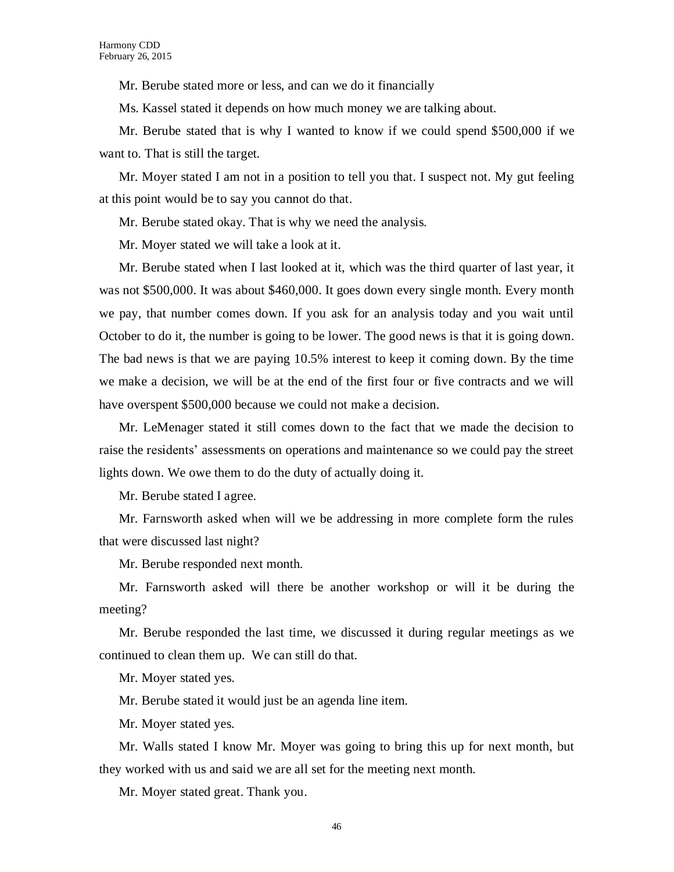Mr. Berube stated more or less, and can we do it financially

Ms. Kassel stated it depends on how much money we are talking about.

Mr. Berube stated that is why I wanted to know if we could spend \$500,000 if we want to. That is still the target.

Mr. Moyer stated I am not in a position to tell you that. I suspect not. My gut feeling at this point would be to say you cannot do that.

Mr. Berube stated okay. That is why we need the analysis.

Mr. Moyer stated we will take a look at it.

Mr. Berube stated when I last looked at it, which was the third quarter of last year, it was not \$500,000. It was about \$460,000. It goes down every single month. Every month we pay, that number comes down. If you ask for an analysis today and you wait until October to do it, the number is going to be lower. The good news is that it is going down. The bad news is that we are paying 10.5% interest to keep it coming down. By the time we make a decision, we will be at the end of the first four or five contracts and we will have overspent \$500,000 because we could not make a decision.

Mr. LeMenager stated it still comes down to the fact that we made the decision to raise the residents' assessments on operations and maintenance so we could pay the street lights down. We owe them to do the duty of actually doing it.

Mr. Berube stated I agree.

Mr. Farnsworth asked when will we be addressing in more complete form the rules that were discussed last night?

Mr. Berube responded next month.

Mr. Farnsworth asked will there be another workshop or will it be during the meeting?

Mr. Berube responded the last time, we discussed it during regular meetings as we continued to clean them up. We can still do that.

Mr. Moyer stated yes.

Mr. Berube stated it would just be an agenda line item.

Mr. Moyer stated yes.

Mr. Walls stated I know Mr. Moyer was going to bring this up for next month, but they worked with us and said we are all set for the meeting next month.

Mr. Moyer stated great. Thank you.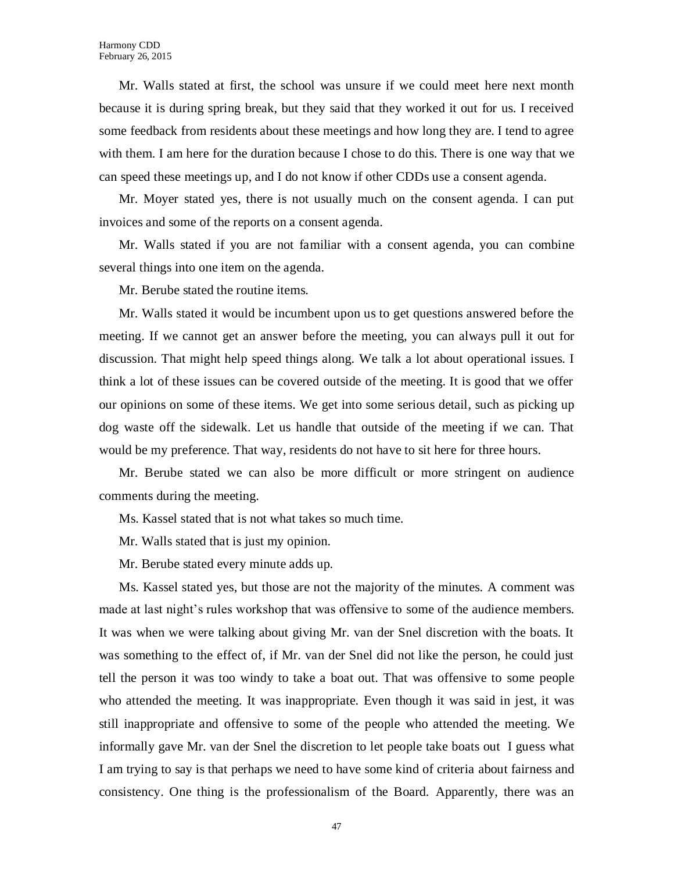Mr. Walls stated at first, the school was unsure if we could meet here next month because it is during spring break, but they said that they worked it out for us. I received some feedback from residents about these meetings and how long they are. I tend to agree with them. I am here for the duration because I chose to do this. There is one way that we can speed these meetings up, and I do not know if other CDDs use a consent agenda.

Mr. Moyer stated yes, there is not usually much on the consent agenda. I can put invoices and some of the reports on a consent agenda.

Mr. Walls stated if you are not familiar with a consent agenda, you can combine several things into one item on the agenda.

Mr. Berube stated the routine items.

Mr. Walls stated it would be incumbent upon us to get questions answered before the meeting. If we cannot get an answer before the meeting, you can always pull it out for discussion. That might help speed things along. We talk a lot about operational issues. I think a lot of these issues can be covered outside of the meeting. It is good that we offer our opinions on some of these items. We get into some serious detail, such as picking up dog waste off the sidewalk. Let us handle that outside of the meeting if we can. That would be my preference. That way, residents do not have to sit here for three hours.

Mr. Berube stated we can also be more difficult or more stringent on audience comments during the meeting.

Ms. Kassel stated that is not what takes so much time.

Mr. Walls stated that is just my opinion.

Mr. Berube stated every minute adds up.

Ms. Kassel stated yes, but those are not the majority of the minutes. A comment was made at last night's rules workshop that was offensive to some of the audience members. It was when we were talking about giving Mr. van der Snel discretion with the boats. It was something to the effect of, if Mr. van der Snel did not like the person, he could just tell the person it was too windy to take a boat out. That was offensive to some people who attended the meeting. It was inappropriate. Even though it was said in jest, it was still inappropriate and offensive to some of the people who attended the meeting. We informally gave Mr. van der Snel the discretion to let people take boats out I guess what I am trying to say is that perhaps we need to have some kind of criteria about fairness and consistency. One thing is the professionalism of the Board. Apparently, there was an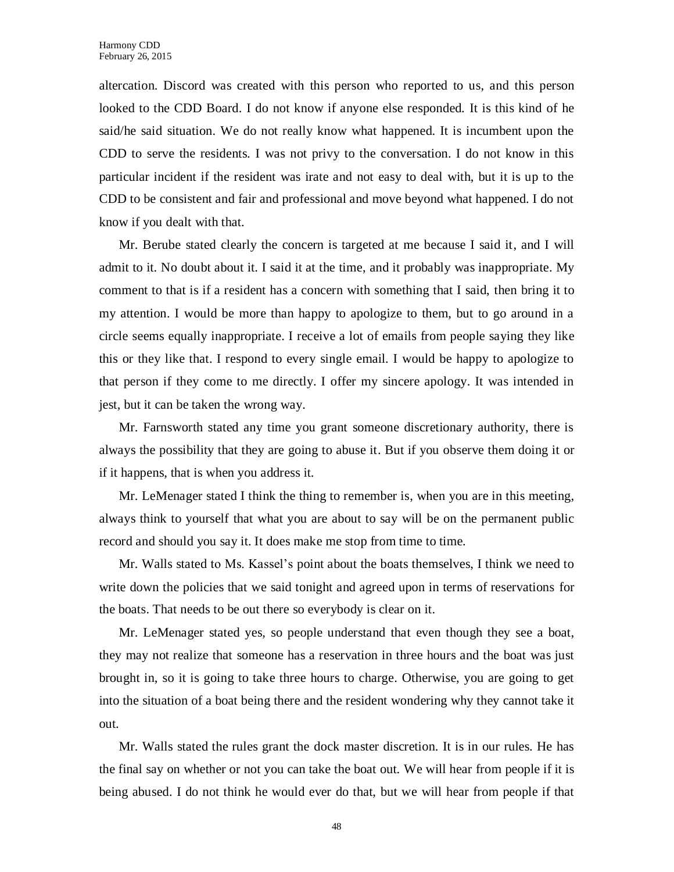altercation. Discord was created with this person who reported to us, and this person looked to the CDD Board. I do not know if anyone else responded. It is this kind of he said/he said situation. We do not really know what happened. It is incumbent upon the CDD to serve the residents. I was not privy to the conversation. I do not know in this particular incident if the resident was irate and not easy to deal with, but it is up to the CDD to be consistent and fair and professional and move beyond what happened. I do not know if you dealt with that.

Mr. Berube stated clearly the concern is targeted at me because I said it, and I will admit to it. No doubt about it. I said it at the time, and it probably was inappropriate. My comment to that is if a resident has a concern with something that I said, then bring it to my attention. I would be more than happy to apologize to them, but to go around in a circle seems equally inappropriate. I receive a lot of emails from people saying they like this or they like that. I respond to every single email. I would be happy to apologize to that person if they come to me directly. I offer my sincere apology. It was intended in jest, but it can be taken the wrong way.

Mr. Farnsworth stated any time you grant someone discretionary authority, there is always the possibility that they are going to abuse it. But if you observe them doing it or if it happens, that is when you address it.

Mr. LeMenager stated I think the thing to remember is, when you are in this meeting, always think to yourself that what you are about to say will be on the permanent public record and should you say it. It does make me stop from time to time.

Mr. Walls stated to Ms. Kassel's point about the boats themselves, I think we need to write down the policies that we said tonight and agreed upon in terms of reservations for the boats. That needs to be out there so everybody is clear on it.

Mr. LeMenager stated yes, so people understand that even though they see a boat, they may not realize that someone has a reservation in three hours and the boat was just brought in, so it is going to take three hours to charge. Otherwise, you are going to get into the situation of a boat being there and the resident wondering why they cannot take it out.

Mr. Walls stated the rules grant the dock master discretion. It is in our rules. He has the final say on whether or not you can take the boat out. We will hear from people if it is being abused. I do not think he would ever do that, but we will hear from people if that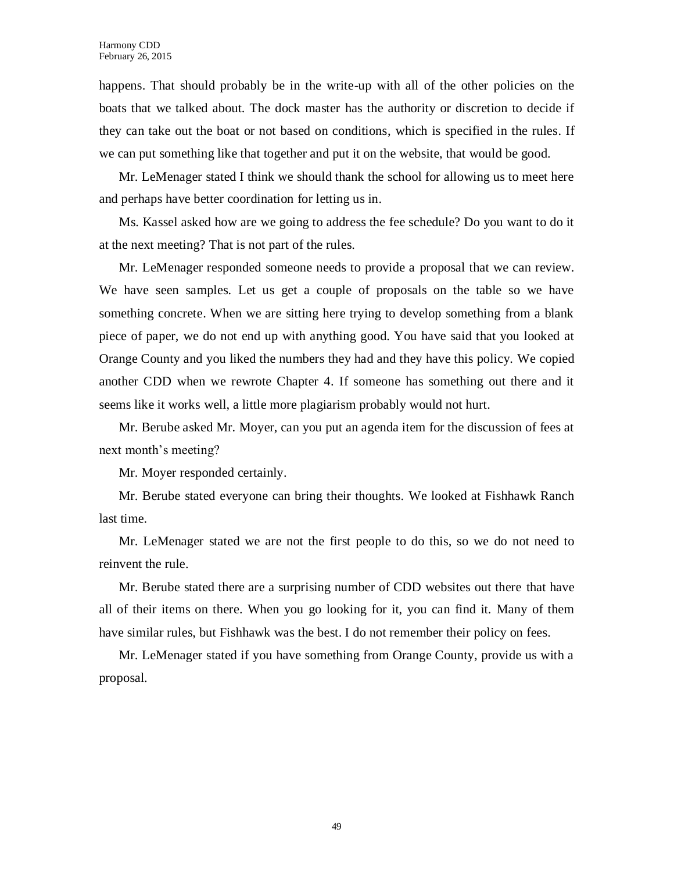happens. That should probably be in the write-up with all of the other policies on the boats that we talked about. The dock master has the authority or discretion to decide if they can take out the boat or not based on conditions, which is specified in the rules. If we can put something like that together and put it on the website, that would be good.

Mr. LeMenager stated I think we should thank the school for allowing us to meet here and perhaps have better coordination for letting us in.

Ms. Kassel asked how are we going to address the fee schedule? Do you want to do it at the next meeting? That is not part of the rules.

Mr. LeMenager responded someone needs to provide a proposal that we can review. We have seen samples. Let us get a couple of proposals on the table so we have something concrete. When we are sitting here trying to develop something from a blank piece of paper, we do not end up with anything good. You have said that you looked at Orange County and you liked the numbers they had and they have this policy. We copied another CDD when we rewrote Chapter 4. If someone has something out there and it seems like it works well, a little more plagiarism probably would not hurt.

Mr. Berube asked Mr. Moyer, can you put an agenda item for the discussion of fees at next month's meeting?

Mr. Moyer responded certainly.

Mr. Berube stated everyone can bring their thoughts. We looked at Fishhawk Ranch last time.

Mr. LeMenager stated we are not the first people to do this, so we do not need to reinvent the rule.

Mr. Berube stated there are a surprising number of CDD websites out there that have all of their items on there. When you go looking for it, you can find it. Many of them have similar rules, but Fishhawk was the best. I do not remember their policy on fees.

Mr. LeMenager stated if you have something from Orange County, provide us with a proposal.